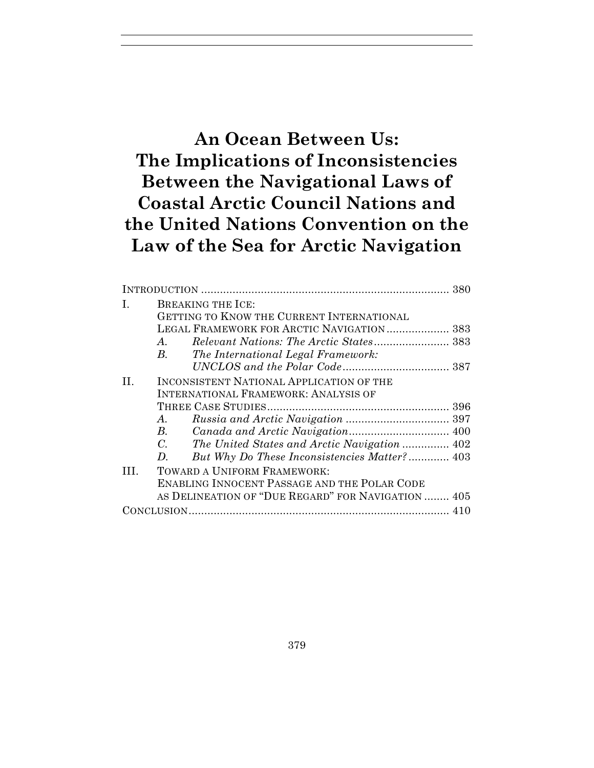# **An Ocean Between Us: The Implications of Inconsistencies Between the Navigational Laws of Coastal Arctic Council Nations and the United Nations Convention on the Law of the Sea for Arctic Navigation**

| BREAKING THE ICE:                                   |  |
|-----------------------------------------------------|--|
| GETTING TO KNOW THE CURRENT INTERNATIONAL           |  |
| LEGAL FRAMEWORK FOR ARCTIC NAVIGATION 383           |  |
| $A_{-}$                                             |  |
| $B_{\cdot}$<br>The International Legal Framework:   |  |
|                                                     |  |
| INCONSISTENT NATIONAL APPLICATION OF THE            |  |
| <b>INTERNATIONAL FRAMEWORK: ANALYSIS OF</b>         |  |
|                                                     |  |
| A.                                                  |  |
| $B_{\cdot}$                                         |  |
| $C_{\cdot}$                                         |  |
| But Why Do These Inconsistencies Matter? 403<br>D.  |  |
| TOWARD A UNIFORM FRAMEWORK:                         |  |
| <b>ENABLING INNOCENT PASSAGE AND THE POLAR CODE</b> |  |
| AS DELINEATION OF "DUE REGARD" FOR NAVIGATION  405  |  |
|                                                     |  |
|                                                     |  |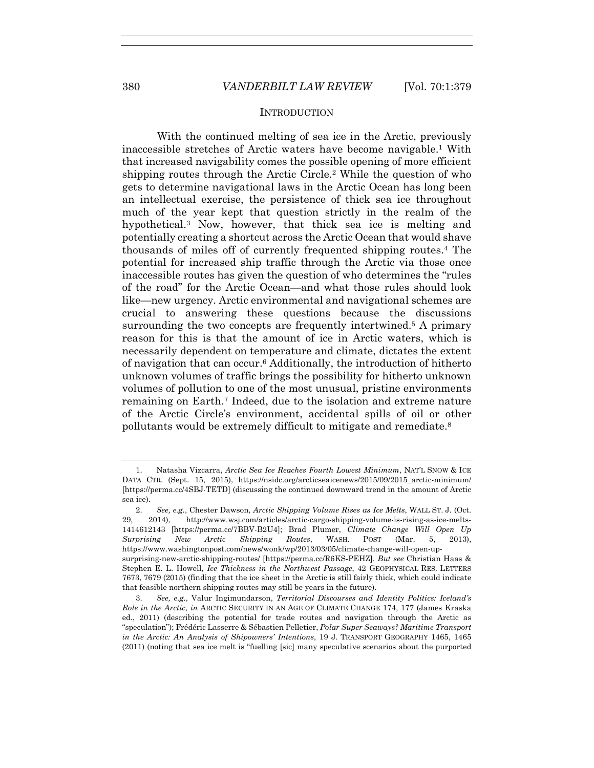## **INTRODUCTION**

With the continued melting of sea ice in the Arctic, previously inaccessible stretches of Arctic waters have become navigable.1 With that increased navigability comes the possible opening of more efficient shipping routes through the Arctic Circle.2 While the question of who gets to determine navigational laws in the Arctic Ocean has long been an intellectual exercise, the persistence of thick sea ice throughout much of the year kept that question strictly in the realm of the hypothetical.3 Now, however, that thick sea ice is melting and potentially creating a shortcut across the Arctic Ocean that would shave thousands of miles off of currently frequented shipping routes.4 The potential for increased ship traffic through the Arctic via those once inaccessible routes has given the question of who determines the "rules of the road" for the Arctic Ocean—and what those rules should look like—new urgency. Arctic environmental and navigational schemes are crucial to answering these questions because the discussions surrounding the two concepts are frequently intertwined.<sup>5</sup> A primary reason for this is that the amount of ice in Arctic waters, which is necessarily dependent on temperature and climate, dictates the extent of navigation that can occur.6 Additionally, the introduction of hitherto unknown volumes of traffic brings the possibility for hitherto unknown volumes of pollution to one of the most unusual, pristine environments remaining on Earth.7 Indeed, due to the isolation and extreme nature of the Arctic Circle's environment, accidental spills of oil or other pollutants would be extremely difficult to mitigate and remediate.8

 <sup>1.</sup> Natasha Vizcarra, *Arctic Sea Ice Reaches Fourth Lowest Minimum*, NAT'L SNOW & ICE DATA CTR. (Sept. 15, 2015), https://nsidc.org/arcticseaicenews/2015/09/2015\_arctic-minimum/ [https://perma.cc/4SBJ-TETD] (discussing the continued downward trend in the amount of Arctic sea ice).

 <sup>2.</sup> *See, e.g.*, Chester Dawson, *Arctic Shipping Volume Rises as Ice Melts*, WALL ST. J. (Oct. 29, 2014), http://www.wsj.com/articles/arctic-cargo-shipping-volume-is-rising-as-ice-melts-1414612143 [https://perma.cc/7BBV-B2U4]; Brad Plumer, *Climate Change Will Open Up Surprising New Arctic Shipping Routes*, WASH. POST (Mar. 5, 2013), https://www.washingtonpost.com/news/wonk/wp/2013/03/05/climate-change-will-open-upsurprising-new-arctic-shipping-routes/ [https://perma.cc/R6KS-PEHZ]. *But see* Christian Haas & Stephen E. L. Howell, *Ice Thickness in the Northwest Passage*, 42 GEOPHYSICAL RES. LETTERS 7673, 7679 (2015) (finding that the ice sheet in the Arctic is still fairly thick, which could indicate that feasible northern shipping routes may still be years in the future).

 <sup>3.</sup> *See, e.g.*, Valur Ingimundarson, *Territorial Discourses and Identity Politics: Iceland's Role in the Arctic*, *in* ARCTIC SECURITY IN AN AGE OF CLIMATE CHANGE 174, 177 (James Kraska ed., 2011) (describing the potential for trade routes and navigation through the Arctic as "speculation"); Frédéric Lasserre & Sébastien Pelletier, *Polar Super Seaways? Maritime Transport in the Arctic: An Analysis of Shipowners' Intentions*, 19 J. TRANSPORT GEOGRAPHY 1465, 1465 (2011) (noting that sea ice melt is "fuelling [sic] many speculative scenarios about the purported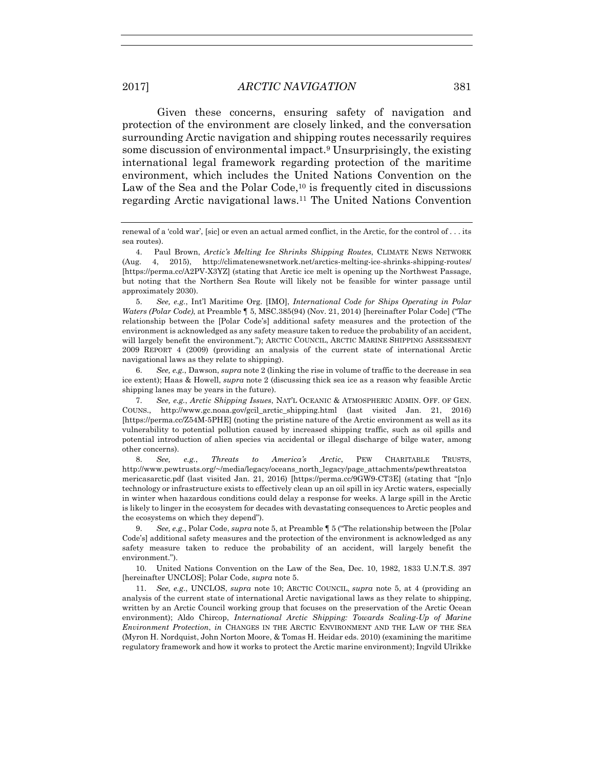Given these concerns, ensuring safety of navigation and protection of the environment are closely linked, and the conversation surrounding Arctic navigation and shipping routes necessarily requires some discussion of environmental impact.9 Unsurprisingly, the existing international legal framework regarding protection of the maritime environment, which includes the United Nations Convention on the Law of the Sea and the Polar Code, $10$  is frequently cited in discussions regarding Arctic navigational laws.11 The United Nations Convention

 5. *See, e.g.*, Int'l Maritime Org. [IMO], *International Code for Ships Operating in Polar Waters (Polar Code)*, at Preamble ¶ 5, MSC.385(94) (Nov. 21, 2014) [hereinafter Polar Code] ("The relationship between the [Polar Code's] additional safety measures and the protection of the environment is acknowledged as any safety measure taken to reduce the probability of an accident, will largely benefit the environment."); ARCTIC COUNCIL, ARCTIC MARINE SHIPPING ASSESSMENT 2009 REPORT 4 (2009) (providing an analysis of the current state of international Arctic navigational laws as they relate to shipping).

 6. *See, e.g.*, Dawson, *supra* note 2 (linking the rise in volume of traffic to the decrease in sea ice extent); Haas & Howell, *supra* note 2 (discussing thick sea ice as a reason why feasible Arctic shipping lanes may be years in the future).

 7. *See, e.g.*, *Arctic Shipping Issues*, NAT'L OCEANIC & ATMOSPHERIC ADMIN. OFF. OF GEN. COUNS., http://www.gc.noaa.gov/gcil\_arctic\_shipping.html (last visited Jan. 21, 2016) [https://perma.cc/Z54M-5PHE] (noting the pristine nature of the Arctic environment as well as its vulnerability to potential pollution caused by increased shipping traffic, such as oil spills and potential introduction of alien species via accidental or illegal discharge of bilge water, among other concerns).

 8. *See, e.g.*, *Threats to America's Arctic*, PEW CHARITABLE TRUSTS, http://www.pewtrusts.org/~/media/legacy/oceans\_north\_legacy/page\_attachments/pewthreatstoa mericasarctic.pdf (last visited Jan. 21, 2016) [https://perma.cc/9GW9-CT3E] (stating that "[n]o technology or infrastructure exists to effectively clean up an oil spill in icy Arctic waters, especially in winter when hazardous conditions could delay a response for weeks. A large spill in the Arctic is likely to linger in the ecosystem for decades with devastating consequences to Arctic peoples and the ecosystems on which they depend").

 9. *See, e.g.*, Polar Code, *supra* note 5, at Preamble ¶ 5 ("The relationship between the [Polar Code's] additional safety measures and the protection of the environment is acknowledged as any safety measure taken to reduce the probability of an accident, will largely benefit the environment.").

 10. United Nations Convention on the Law of the Sea, Dec. 10, 1982, 1833 U.N.T.S. 397 [hereinafter UNCLOS]; Polar Code, *supra* note 5.

 11. *See, e.g.*, UNCLOS, *supra* note 10; ARCTIC COUNCIL, *supra* note 5, at 4 (providing an analysis of the current state of international Arctic navigational laws as they relate to shipping, written by an Arctic Council working group that focuses on the preservation of the Arctic Ocean environment); Aldo Chircop, *International Arctic Shipping: Towards Scaling-Up of Marine Environment Protection*, *in* CHANGES IN THE ARCTIC ENVIRONMENT AND THE LAW OF THE SEA (Myron H. Nordquist, John Norton Moore, & Tomas H. Heidar eds. 2010) (examining the maritime regulatory framework and how it works to protect the Arctic marine environment); Ingvild Ulrikke

renewal of a 'cold war', [sic] or even an actual armed conflict, in the Arctic, for the control of ... its sea routes).

<sup>4.</sup> Paul Brown, *Arctic's Melting Ice Shrinks Shipping Routes*, CLIMATE NEWS NETWORK (Aug. 4, 2015), http://climatenewsnetwork.net/arctics-melting-ice-shrinks-shipping-routes/ [https://perma.cc/A2PV-X3YZ] (stating that Arctic ice melt is opening up the Northwest Passage, but noting that the Northern Sea Route will likely not be feasible for winter passage until approximately 2030).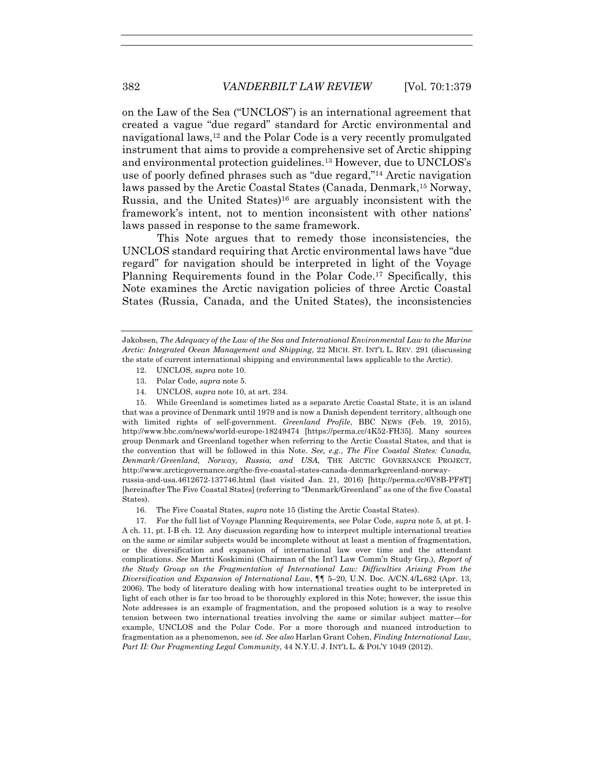on the Law of the Sea ("UNCLOS") is an international agreement that created a vague "due regard" standard for Arctic environmental and navigational laws,12 and the Polar Code is a very recently promulgated instrument that aims to provide a comprehensive set of Arctic shipping and environmental protection guidelines.13 However, due to UNCLOS's use of poorly defined phrases such as "due regard,"14 Arctic navigation laws passed by the Arctic Coastal States (Canada, Denmark,15 Norway, Russia, and the United States)16 are arguably inconsistent with the framework's intent, not to mention inconsistent with other nations' laws passed in response to the same framework.

This Note argues that to remedy those inconsistencies, the UNCLOS standard requiring that Arctic environmental laws have "due regard" for navigation should be interpreted in light of the Voyage Planning Requirements found in the Polar Code.<sup>17</sup> Specifically, this Note examines the Arctic navigation policies of three Arctic Coastal States (Russia, Canada, and the United States), the inconsistencies

- 12. UNCLOS, *supra* note 10.
- 13. Polar Code, *supra* note 5.
- 14. UNCLOS, *supra* note 10, at art. 234.

 15. While Greenland is sometimes listed as a separate Arctic Coastal State, it is an island that was a province of Denmark until 1979 and is now a Danish dependent territory, although one with limited rights of self-government. *Greenland Profile*, BBC NEWS (Feb. 19, 2015), http://www.bbc.com/news/world-europe-18249474 [https://perma.cc/4K52-FH35]. Many sources group Denmark and Greenland together when referring to the Arctic Coastal States, and that is the convention that will be followed in this Note. *See, e.g.*, *The Five Coastal States: Canada, Denmark/Greenland, Norway, Russia, and USA*, THE ARCTIC GOVERNANCE PROJECT, http://www.arcticgovernance.org/the-five-coastal-states-canada-denmarkgreenland-norway-

russia-and-usa.4612672-137746.html (last visited Jan. 21, 2016) [http://perma.cc/6V8B-PF8T] [hereinafter The Five Coastal States] (referring to "Denmark/Greenland" as one of the five Coastal States).

16. The Five Coastal States, *supra* note 15 (listing the Arctic Coastal States).

 17. For the full list of Voyage Planning Requirements, see Polar Code, *supra* note 5, at pt. I-A ch. 11, pt. I-B ch. 12. Any discussion regarding how to interpret multiple international treaties on the same or similar subjects would be incomplete without at least a mention of fragmentation, or the diversification and expansion of international law over time and the attendant complications. *See* Martti Koskimini (Chairman of the Int'l Law Comm'n Study Grp.), *Report of the Study Group on the Fragmentation of International Law: Difficulties Arising From the Diversification and Expansion of International Law*, ¶¶ 5–20, U.N. Doc. A/CN.4/L.682 (Apr. 13, 2006). The body of literature dealing with how international treaties ought to be interpreted in light of each other is far too broad to be thoroughly explored in this Note; however, the issue this Note addresses is an example of fragmentation, and the proposed solution is a way to resolve tension between two international treaties involving the same or similar subject matter—for example, UNCLOS and the Polar Code. For a more thorough and nuanced introduction to fragmentation as a phenomenon, see *id. See also* Harlan Grant Cohen, *Finding International Law, Part II: Our Fragmenting Legal Community*, 44 N.Y.U. J. INT'L L. & POL'Y 1049 (2012).

Jakobsen, *The Adequacy of the Law of the Sea and International Environmental Law to the Marine Arctic: Integrated Ocean Management and Shipping*, 22 MICH. ST. INT'L L. REV. 291 (discussing the state of current international shipping and environmental laws applicable to the Arctic).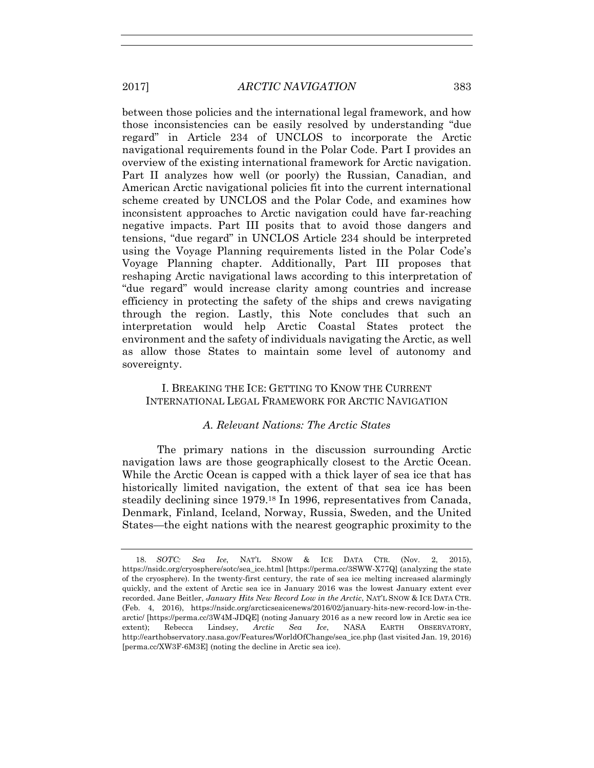between those policies and the international legal framework, and how those inconsistencies can be easily resolved by understanding "due regard" in Article 234 of UNCLOS to incorporate the Arctic navigational requirements found in the Polar Code. Part I provides an overview of the existing international framework for Arctic navigation. Part II analyzes how well (or poorly) the Russian, Canadian, and American Arctic navigational policies fit into the current international scheme created by UNCLOS and the Polar Code, and examines how inconsistent approaches to Arctic navigation could have far-reaching negative impacts. Part III posits that to avoid those dangers and tensions, "due regard" in UNCLOS Article 234 should be interpreted using the Voyage Planning requirements listed in the Polar Code's Voyage Planning chapter. Additionally, Part III proposes that reshaping Arctic navigational laws according to this interpretation of "due regard" would increase clarity among countries and increase efficiency in protecting the safety of the ships and crews navigating through the region. Lastly, this Note concludes that such an interpretation would help Arctic Coastal States protect the environment and the safety of individuals navigating the Arctic, as well as allow those States to maintain some level of autonomy and sovereignty.

I. BREAKING THE ICE: GETTING TO KNOW THE CURRENT INTERNATIONAL LEGAL FRAMEWORK FOR ARCTIC NAVIGATION

## *A. Relevant Nations: The Arctic States*

The primary nations in the discussion surrounding Arctic navigation laws are those geographically closest to the Arctic Ocean. While the Arctic Ocean is capped with a thick layer of sea ice that has historically limited navigation, the extent of that sea ice has been steadily declining since 1979.18 In 1996, representatives from Canada, Denmark, Finland, Iceland, Norway, Russia, Sweden, and the United States—the eight nations with the nearest geographic proximity to the

 <sup>18.</sup> *SOTC: Sea Ice*, NAT'L SNOW & ICE DATA CTR. (Nov. 2, 2015), https://nsidc.org/cryosphere/sotc/sea\_ice.html [https://perma.cc/3SWW-X77Q] (analyzing the state of the cryosphere). In the twenty-first century, the rate of sea ice melting increased alarmingly quickly, and the extent of Arctic sea ice in January 2016 was the lowest January extent ever recorded. Jane Beitler, *January Hits New Record Low in the Arctic*, NAT'L SNOW & ICE DATA CTR. (Feb. 4, 2016), https://nsidc.org/arcticseaicenews/2016/02/january-hits-new-record-low-in-thearctic/ [https://perma.cc/3W4M-JDQE] (noting January 2016 as a new record low in Arctic sea ice extent); Rebecca Lindsey, *Arctic Sea Ice*, NASA EARTH OBSERVATORY, http://earthobservatory.nasa.gov/Features/WorldOfChange/sea\_ice.php (last visited Jan. 19, 2016) [perma.cc/XW3F-6M3E] (noting the decline in Arctic sea ice).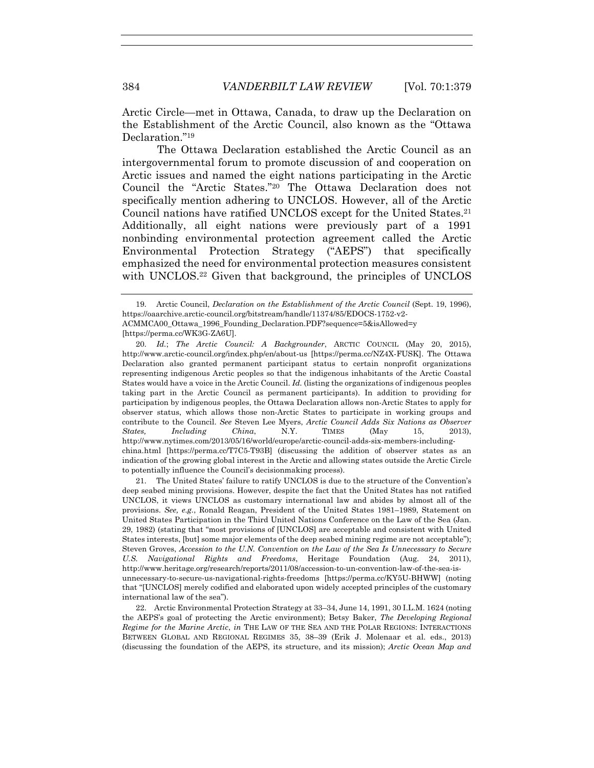Arctic Circle—met in Ottawa, Canada, to draw up the Declaration on the Establishment of the Arctic Council, also known as the "Ottawa Declaration."19

The Ottawa Declaration established the Arctic Council as an intergovernmental forum to promote discussion of and cooperation on Arctic issues and named the eight nations participating in the Arctic Council the "Arctic States."20 The Ottawa Declaration does not specifically mention adhering to UNCLOS. However, all of the Arctic Council nations have ratified UNCLOS except for the United States.<sup>21</sup> Additionally, all eight nations were previously part of a 1991 nonbinding environmental protection agreement called the Arctic Environmental Protection Strategy ("AEPS") that specifically emphasized the need for environmental protection measures consistent with UNCLOS.<sup>22</sup> Given that background, the principles of UNCLOS

 20. *Id.*; *The Arctic Council: A Backgrounder*, ARCTIC COUNCIL (May 20, 2015), http://www.arctic-council.org/index.php/en/about-us [https://perma.cc/NZ4X-FUSK]. The Ottawa Declaration also granted permanent participant status to certain nonprofit organizations representing indigenous Arctic peoples so that the indigenous inhabitants of the Arctic Coastal States would have a voice in the Arctic Council. *Id.* (listing the organizations of indigenous peoples taking part in the Arctic Council as permanent participants). In addition to providing for participation by indigenous peoples, the Ottawa Declaration allows non-Arctic States to apply for observer status, which allows those non-Arctic States to participate in working groups and contribute to the Council. *See* Steven Lee Myers, *Arctic Council Adds Six Nations as Observer States, Including China*, N.Y. TIMES (May 15, 2013), http://www.nytimes.com/2013/05/16/world/europe/arctic-council-adds-six-members-includingchina.html [https://perma.cc/T7C5-T93B] (discussing the addition of observer states as an indication of the growing global interest in the Arctic and allowing states outside the Arctic Circle to potentially influence the Council's decisionmaking process).

 21. The United States' failure to ratify UNCLOS is due to the structure of the Convention's deep seabed mining provisions. However, despite the fact that the United States has not ratified UNCLOS, it views UNCLOS as customary international law and abides by almost all of the provisions. *See, e.g.*, Ronald Reagan, President of the United States 1981–1989, Statement on United States Participation in the Third United Nations Conference on the Law of the Sea (Jan. 29, 1982) (stating that "most provisions of [UNCLOS] are acceptable and consistent with United States interests, [but] some major elements of the deep seabed mining regime are not acceptable"); Steven Groves, *Accession to the U.N. Convention on the Law of the Sea Is Unnecessary to Secure U.S. Navigational Rights and Freedoms*, Heritage Foundation (Aug. 24, 2011), http://www.heritage.org/research/reports/2011/08/accession-to-un-convention-law-of-the-sea-isunnecessary-to-secure-us-navigational-rights-freedoms [https://perma.cc/KY5U-BHWW] (noting that "[UNCLOS] merely codified and elaborated upon widely accepted principles of the customary international law of the sea").

 22. Arctic Environmental Protection Strategy at 33–34, June 14, 1991, 30 I.L.M. 1624 (noting the AEPS's goal of protecting the Arctic environment); Betsy Baker, *The Developing Regional Regime for the Marine Arctic*, *in* THE LAW OF THE SEA AND THE POLAR REGIONS: INTERACTIONS BETWEEN GLOBAL AND REGIONAL REGIMES 35, 38–39 (Erik J. Molenaar et al. eds., 2013) (discussing the foundation of the AEPS, its structure, and its mission); *Arctic Ocean Map and* 

 <sup>19.</sup> Arctic Council, *Declaration on the Establishment of the Arctic Council* (Sept. 19, 1996), https://oaarchive.arctic-council.org/bitstream/handle/11374/85/EDOCS-1752-v2- ACMMCA00\_Ottawa\_1996\_Founding\_Declaration.PDF?sequence=5&isAllowed=y [https://perma.cc/WK3G-ZA6U].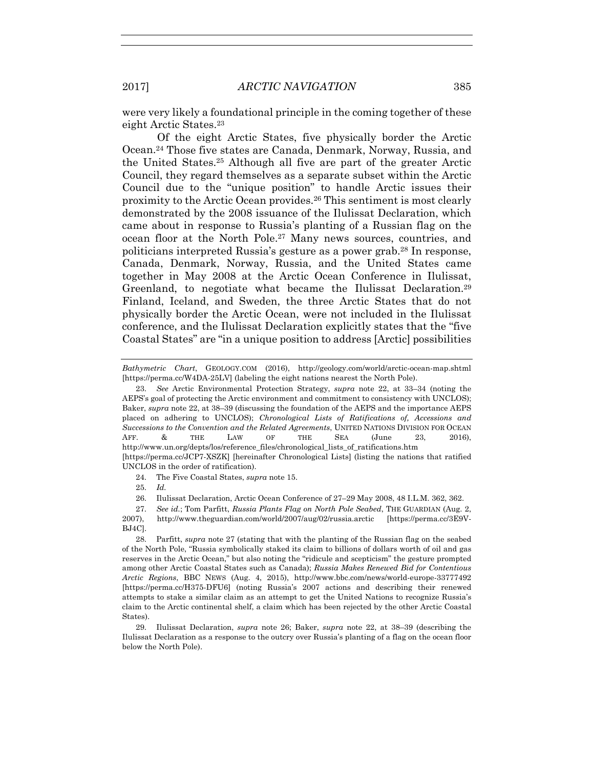were very likely a foundational principle in the coming together of these eight Arctic States.23

Of the eight Arctic States, five physically border the Arctic Ocean.24 Those five states are Canada, Denmark, Norway, Russia, and the United States.25 Although all five are part of the greater Arctic Council, they regard themselves as a separate subset within the Arctic Council due to the "unique position" to handle Arctic issues their proximity to the Arctic Ocean provides.26 This sentiment is most clearly demonstrated by the 2008 issuance of the Ilulissat Declaration, which came about in response to Russia's planting of a Russian flag on the ocean floor at the North Pole.27 Many news sources, countries, and politicians interpreted Russia's gesture as a power grab.28 In response, Canada, Denmark, Norway, Russia, and the United States came together in May 2008 at the Arctic Ocean Conference in Ilulissat, Greenland, to negotiate what became the Ilulissat Declaration.29 Finland, Iceland, and Sweden, the three Arctic States that do not physically border the Arctic Ocean, were not included in the Ilulissat conference, and the Ilulissat Declaration explicitly states that the "five Coastal States" are "in a unique position to address [Arctic] possibilities

24. The Five Coastal States, *supra* note 15.

25. *Id.*

26. Ilulissat Declaration, Arctic Ocean Conference of 27–29 May 2008, 48 I.L.M. 362, 362.

*Bathymetric Chart*, GEOLOGY.COM (2016), http://geology.com/world/arctic-ocean-map.shtml [https://perma.cc/W4DA-25LV] (labeling the eight nations nearest the North Pole).

 <sup>23.</sup> *See* Arctic Environmental Protection Strategy, *supra* note 22, at 33–34 (noting the AEPS's goal of protecting the Arctic environment and commitment to consistency with UNCLOS); Baker, *supra* note 22, at 38–39 (discussing the foundation of the AEPS and the importance AEPS placed on adhering to UNCLOS); *Chronological Lists of Ratifications of, Accessions and Successions to the Convention and the Related Agreements*, UNITED NATIONS DIVISION FOR OCEAN AFF. & THE LAW OF THE SEA (June 23, 2016), http://www.un.org/depts/los/reference\_files/chronological\_lists\_of\_ratifications.htm [https://perma.cc/JCP7-XSZK] [hereinafter Chronological Lists] (listing the nations that ratified UNCLOS in the order of ratification).

 <sup>27.</sup> *See id.*; Tom Parfitt, *Russia Plants Flag on North Pole Seabed*, THE GUARDIAN (Aug. 2, 2007), http://www.theguardian.com/world/2007/aug/02/russia.arctic [https://perma.cc/3E9V-BJ4C].

 <sup>28.</sup> Parfitt, *supra* note 27 (stating that with the planting of the Russian flag on the seabed of the North Pole, "Russia symbolically staked its claim to billions of dollars worth of oil and gas reserves in the Arctic Ocean," but also noting the "ridicule and scepticism" the gesture prompted among other Arctic Coastal States such as Canada); *Russia Makes Renewed Bid for Contentious Arctic Regions*, BBC NEWS (Aug. 4, 2015), http://www.bbc.com/news/world-europe-33777492 [https://perma.cc/H375-DFU6] (noting Russia's 2007 actions and describing their renewed attempts to stake a similar claim as an attempt to get the United Nations to recognize Russia's claim to the Arctic continental shelf, a claim which has been rejected by the other Arctic Coastal States).

 <sup>29.</sup> Ilulissat Declaration, *supra* note 26; Baker, *supra* note 22, at 38–39 (describing the Ilulissat Declaration as a response to the outcry over Russia's planting of a flag on the ocean floor below the North Pole).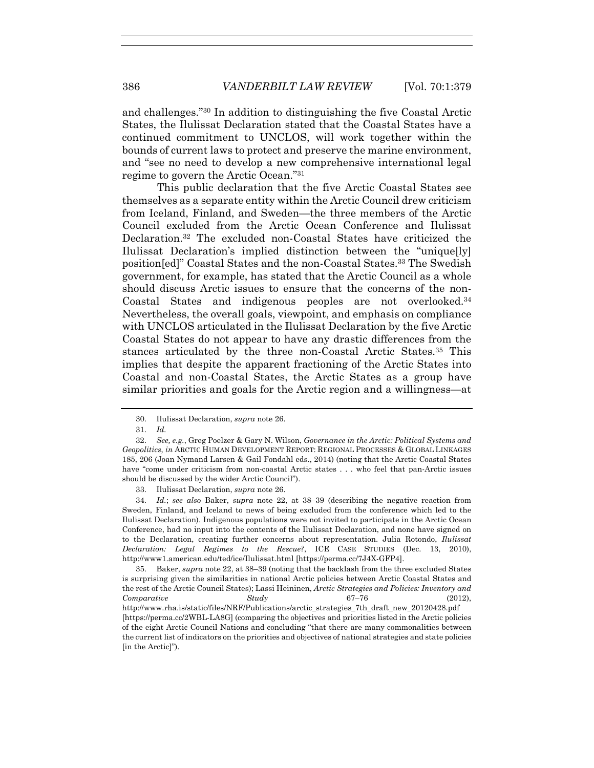and challenges."30 In addition to distinguishing the five Coastal Arctic States, the Ilulissat Declaration stated that the Coastal States have a continued commitment to UNCLOS, will work together within the bounds of current laws to protect and preserve the marine environment, and "see no need to develop a new comprehensive international legal regime to govern the Arctic Ocean."31

This public declaration that the five Arctic Coastal States see themselves as a separate entity within the Arctic Council drew criticism from Iceland, Finland, and Sweden—the three members of the Arctic Council excluded from the Arctic Ocean Conference and Ilulissat Declaration.32 The excluded non-Coastal States have criticized the Ilulissat Declaration's implied distinction between the "unique[ly] position[ed]" Coastal States and the non-Coastal States.33 The Swedish government, for example, has stated that the Arctic Council as a whole should discuss Arctic issues to ensure that the concerns of the non-Coastal States and indigenous peoples are not overlooked.34 Nevertheless, the overall goals, viewpoint, and emphasis on compliance with UNCLOS articulated in the Ilulissat Declaration by the five Arctic Coastal States do not appear to have any drastic differences from the stances articulated by the three non-Coastal Arctic States.35 This implies that despite the apparent fractioning of the Arctic States into Coastal and non-Coastal States, the Arctic States as a group have similar priorities and goals for the Arctic region and a willingness—at

 <sup>30.</sup> Ilulissat Declaration, *supra* note 26.

 <sup>31.</sup> *Id.*

 <sup>32.</sup> *See, e.g.*, Greg Poelzer & Gary N. Wilson, *Governance in the Arctic: Political Systems and Geopolitics*, *in* ARCTIC HUMAN DEVELOPMENT REPORT: REGIONAL PROCESSES & GLOBAL LINKAGES 185, 206 (Joan Nymand Larsen & Gail Fondahl eds., 2014) (noting that the Arctic Coastal States have "come under criticism from non-coastal Arctic states . . . who feel that pan-Arctic issues should be discussed by the wider Arctic Council").

 <sup>33.</sup> Ilulissat Declaration, *supra* note 26.

 <sup>34.</sup> *Id.*; *see also* Baker, *supra* note 22, at 38–39 (describing the negative reaction from Sweden, Finland, and Iceland to news of being excluded from the conference which led to the Ilulissat Declaration). Indigenous populations were not invited to participate in the Arctic Ocean Conference, had no input into the contents of the Ilulissat Declaration, and none have signed on to the Declaration, creating further concerns about representation. Julia Rotondo, *Ilulissat Declaration: Legal Regimes to the Rescue?*, ICE CASE STUDIES (Dec. 13, 2010), http://www1.american.edu/ted/ice/Ilulissat.html [https://perma.cc/7J4X-GFP4].

 <sup>35.</sup> Baker, *supra* note 22, at 38–39 (noting that the backlash from the three excluded States is surprising given the similarities in national Arctic policies between Arctic Coastal States and the rest of the Arctic Council States); Lassi Heininen, *Arctic Strategies and Policies: Inventory and Comparative Study* 67–76 (2012), http://www.rha.is/static/files/NRF/Publications/arctic\_strategies\_7th\_draft\_new\_20120428.pdf [https://perma.cc/2WBL-LA8G] (comparing the objectives and priorities listed in the Arctic policies of the eight Arctic Council Nations and concluding "that there are many commonalities between the current list of indicators on the priorities and objectives of national strategies and state policies [in the Arctic]").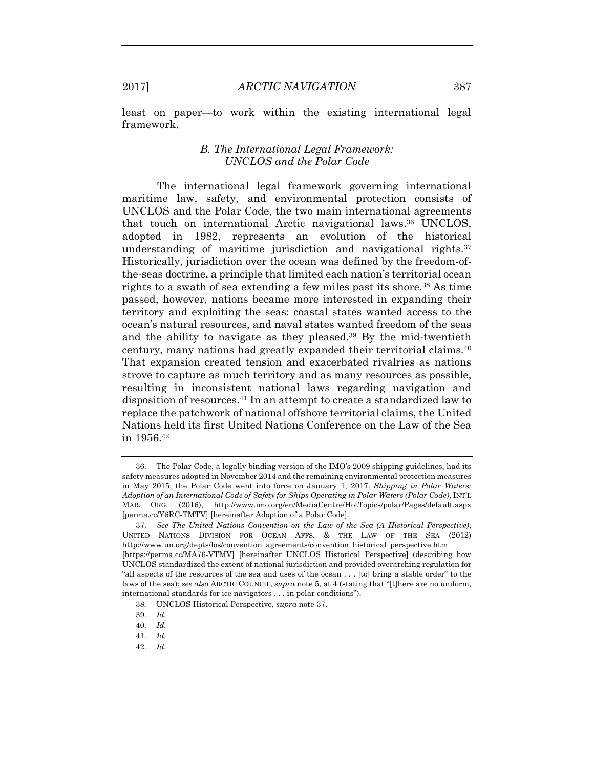least on paper—to work within the existing international legal framework.

# *B. The International Legal Framework: UNCLOS and the Polar Code*

The international legal framework governing international maritime law, safety, and environmental protection consists of UNCLOS and the Polar Code, the two main international agreements that touch on international Arctic navigational laws.36 UNCLOS, adopted in 1982, represents an evolution of the historical understanding of maritime jurisdiction and navigational rights. $37$ Historically, jurisdiction over the ocean was defined by the freedom-ofthe-seas doctrine, a principle that limited each nation's territorial ocean rights to a swath of sea extending a few miles past its shore.38 As time passed, however, nations became more interested in expanding their territory and exploiting the seas: coastal states wanted access to the ocean's natural resources, and naval states wanted freedom of the seas and the ability to navigate as they pleased.39 By the mid-twentieth century, many nations had greatly expanded their territorial claims.40 That expansion created tension and exacerbated rivalries as nations strove to capture as much territory and as many resources as possible, resulting in inconsistent national laws regarding navigation and disposition of resources.41 In an attempt to create a standardized law to replace the patchwork of national offshore territorial claims, the United Nations held its first United Nations Conference on the Law of the Sea in 1956.42

- 41. *Id.*
- 42. *Id.*

 <sup>36.</sup> The Polar Code, a legally binding version of the IMO's 2009 shipping guidelines, had its safety measures adopted in November 2014 and the remaining environmental protection measures in May 2015; the Polar Code went into force on January 1, 2017. *Shipping in Polar Waters: Adoption of an International Code of Safety for Ships Operating in Polar Waters (Polar Code)*, INT'L MAR. ORG. (2016), http://www.imo.org/en/MediaCentre/HotTopics/polar/Pages/default.aspx [perma.cc/Y6RC-TMTV] [hereinafter Adoption of a Polar Code].

 <sup>37.</sup> *See The United Nations Convention on the Law of the Sea (A Historical Perspective)*, UNITED NATIONS DIVISION FOR OCEAN AFFS. & THE LAW OF THE SEA (2012) http://www.un.org/depts/los/convention\_agreements/convention\_historical\_perspective.htm [https://perma.cc/MA76-VTMV] [hereinafter UNCLOS Historical Perspective] (describing how UNCLOS standardized the extent of national jurisdiction and provided overarching regulation for "all aspects of the resources of the sea and uses of the ocean . . . [to] bring a stable order" to the laws of the sea); *see also* ARCTIC COUNCIL, *supra* note 5, at 4 (stating that "[t]here are no uniform, international standards for ice navigators . . . in polar conditions").

<sup>38</sup>*.* UNCLOS Historical Perspective, *supra* note 37.

 <sup>39.</sup> *Id.*

 <sup>40.</sup> *Id.*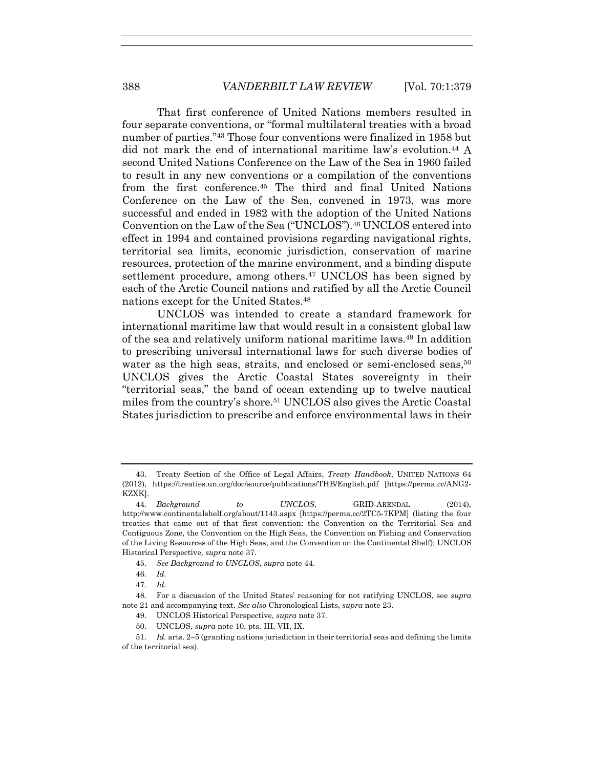That first conference of United Nations members resulted in four separate conventions, or "formal multilateral treaties with a broad number of parties."43 Those four conventions were finalized in 1958 but did not mark the end of international maritime law's evolution.44 A second United Nations Conference on the Law of the Sea in 1960 failed to result in any new conventions or a compilation of the conventions from the first conference.45 The third and final United Nations Conference on the Law of the Sea, convened in 1973, was more successful and ended in 1982 with the adoption of the United Nations Convention on the Law of the Sea ("UNCLOS").46 UNCLOS entered into effect in 1994 and contained provisions regarding navigational rights, territorial sea limits, economic jurisdiction, conservation of marine resources, protection of the marine environment, and a binding dispute settlement procedure, among others.<sup>47</sup> UNCLOS has been signed by each of the Arctic Council nations and ratified by all the Arctic Council nations except for the United States.48

UNCLOS was intended to create a standard framework for international maritime law that would result in a consistent global law of the sea and relatively uniform national maritime laws.49 In addition to prescribing universal international laws for such diverse bodies of water as the high seas, straits, and enclosed or semi-enclosed seas,<sup>50</sup> UNCLOS gives the Arctic Coastal States sovereignty in their "territorial seas," the band of ocean extending up to twelve nautical miles from the country's shore.51 UNCLOS also gives the Arctic Coastal States jurisdiction to prescribe and enforce environmental laws in their

45. *See Background to UNCLOS*, *supra* note 44.

50. UNCLOS, *supra* note 10, pts. III, VII, IX.

 <sup>43.</sup> Treaty Section of the Office of Legal Affairs, *Treaty Handbook*, UNITED NATIONS 64 (2012), https://treaties.un.org/doc/source/publications/THB/English.pdf [https://perma.cc/ANG2- KZXK].

 <sup>44.</sup> *Background to UNCLOS*, GRID-ARENDAL (2014), http://www.continentalshelf.org/about/1143.aspx [https://perma.cc/2TC5-7KPM] (listing the four treaties that came out of that first convention: the Convention on the Territorial Sea and Contiguous Zone, the Convention on the High Seas, the Convention on Fishing and Conservation of the Living Resources of the High Seas, and the Convention on the Continental Shelf); UNCLOS Historical Perspective, *supra* note 37.

 <sup>46.</sup> *Id.*

 <sup>47.</sup> *Id.*

 <sup>48.</sup> For a discussion of the United States' reasoning for not ratifying UNCLOS, see *supra*  note 21 and accompanying text. *See also* Chronological Lists, *supra* note 23.

 <sup>49.</sup> UNCLOS Historical Perspective, *supra* note 37.

 <sup>51.</sup> *Id.* arts. 2–5 (granting nations jurisdiction in their territorial seas and defining the limits of the territorial sea).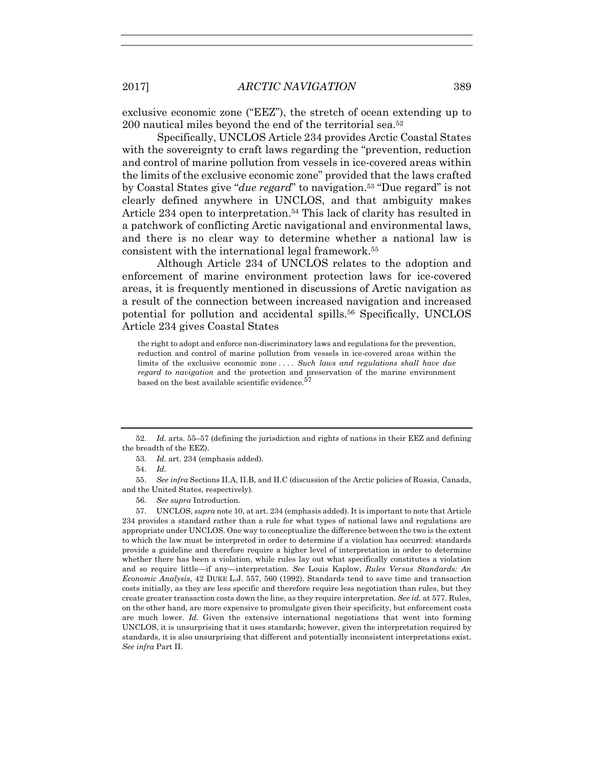exclusive economic zone ("EEZ"), the stretch of ocean extending up to 200 nautical miles beyond the end of the territorial sea.52

Specifically, UNCLOS Article 234 provides Arctic Coastal States with the sovereignty to craft laws regarding the "prevention, reduction and control of marine pollution from vessels in ice-covered areas within the limits of the exclusive economic zone" provided that the laws crafted by Coastal States give "*due regard*" to navigation.53 "Due regard" is not clearly defined anywhere in UNCLOS, and that ambiguity makes Article 234 open to interpretation.<sup>54</sup> This lack of clarity has resulted in a patchwork of conflicting Arctic navigational and environmental laws, and there is no clear way to determine whether a national law is consistent with the international legal framework.55

Although Article 234 of UNCLOS relates to the adoption and enforcement of marine environment protection laws for ice-covered areas, it is frequently mentioned in discussions of Arctic navigation as a result of the connection between increased navigation and increased potential for pollution and accidental spills.56 Specifically, UNCLOS Article 234 gives Coastal States

the right to adopt and enforce non-discriminatory laws and regulations for the prevention, reduction and control of marine pollution from vessels in ice-covered areas within the limits of the exclusive economic zone . . . . *Such laws and regulations shall have due regard to navigation* and the protection and preservation of the marine environment based on the best available scientific evidence.<sup>57</sup>

 52. *Id.* arts. 55–57 (defining the jurisdiction and rights of nations in their EEZ and defining the breadth of the EEZ).

53. *Id.* art. 234 (emphasis added).

54. *Id.*

 55. *See infra* Sections II.A, II.B, and II.C (discussion of the Arctic policies of Russia, Canada, and the United States, respectively).

56. *See supra* Introduction.

 57. UNCLOS, *supra* note 10, at art. 234 (emphasis added). It is important to note that Article 234 provides a standard rather than a rule for what types of national laws and regulations are appropriate under UNCLOS. One way to conceptualize the difference between the two is the extent to which the law must be interpreted in order to determine if a violation has occurred: standards provide a guideline and therefore require a higher level of interpretation in order to determine whether there has been a violation, while rules lay out what specifically constitutes a violation and so require little—if any—interpretation. *See* Louis Kaplow, *Rules Versus Standards: An Economic Analysis*, 42 DUKE L.J. 557, 560 (1992). Standards tend to save time and transaction costs initially, as they are less specific and therefore require less negotiation than rules, but they create greater transaction costs down the line, as they require interpretation. *See id.* at 577. Rules, on the other hand, are more expensive to promulgate given their specificity, but enforcement costs are much lower. *Id.* Given the extensive international negotiations that went into forming UNCLOS, it is unsurprising that it uses standards; however, given the interpretation required by standards, it is also unsurprising that different and potentially inconsistent interpretations exist. *See infra* Part II.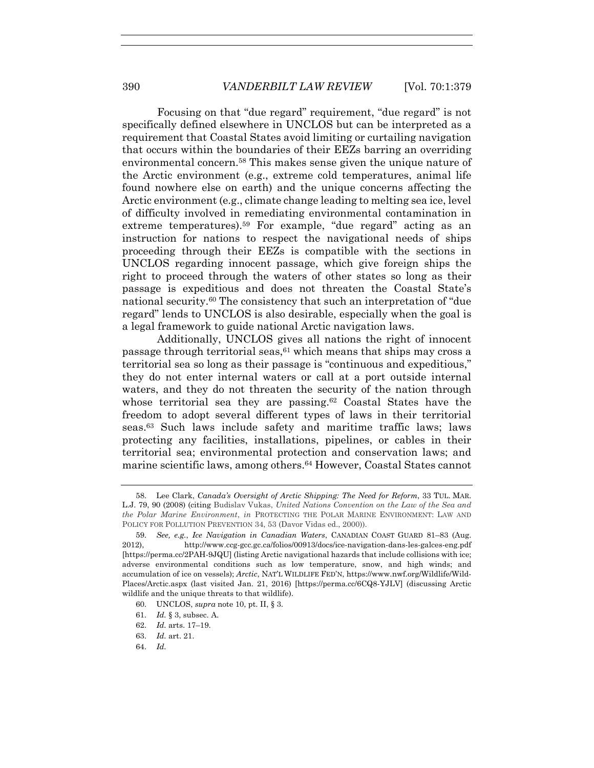Focusing on that "due regard" requirement, "due regard" is not specifically defined elsewhere in UNCLOS but can be interpreted as a requirement that Coastal States avoid limiting or curtailing navigation that occurs within the boundaries of their EEZs barring an overriding environmental concern.58 This makes sense given the unique nature of the Arctic environment (e.g., extreme cold temperatures, animal life found nowhere else on earth) and the unique concerns affecting the Arctic environment (e.g., climate change leading to melting sea ice, level of difficulty involved in remediating environmental contamination in extreme temperatures).<sup>59</sup> For example, "due regard" acting as an instruction for nations to respect the navigational needs of ships proceeding through their EEZs is compatible with the sections in UNCLOS regarding innocent passage, which give foreign ships the right to proceed through the waters of other states so long as their passage is expeditious and does not threaten the Coastal State's national security.60 The consistency that such an interpretation of "due regard" lends to UNCLOS is also desirable, especially when the goal is a legal framework to guide national Arctic navigation laws.

Additionally, UNCLOS gives all nations the right of innocent passage through territorial seas, $61$  which means that ships may cross a territorial sea so long as their passage is "continuous and expeditious," they do not enter internal waters or call at a port outside internal waters, and they do not threaten the security of the nation through whose territorial sea they are passing.<sup>62</sup> Coastal States have the freedom to adopt several different types of laws in their territorial seas.63 Such laws include safety and maritime traffic laws; laws protecting any facilities, installations, pipelines, or cables in their territorial sea; environmental protection and conservation laws; and marine scientific laws, among others.<sup>64</sup> However, Coastal States cannot

- 61. *Id.* § 3, subsec. A.
- 62. *Id.* arts. 17–19.
- 63. *Id.* art. 21.
- 64. *Id.*

 <sup>58.</sup> Lee Clark, *Canada's Oversight of Arctic Shipping: The Need for Reform*, 33 TUL. MAR. L.J. 79, 90 (2008) (citing Budislav Vukas, *United Nations Convention on the Law of the Sea and the Polar Marine Environment*, *in* PROTECTING THE POLAR MARINE ENVIRONMENT: LAW AND POLICY FOR POLLUTION PREVENTION 34, 53 (Davor Vidas ed., 2000)).

 <sup>59.</sup> *See, e.g.*, *Ice Navigation in Canadian Waters*, CANADIAN COAST GUARD 81–83 (Aug. 2012), http://www.ccg-gcc.gc.ca/folios/00913/docs/ice-navigation-dans-les-galces-eng.pdf [https://perma.cc/2PAH-9JQU] (listing Arctic navigational hazards that include collisions with ice; adverse environmental conditions such as low temperature, snow, and high winds; and accumulation of ice on vessels); *Arctic*, NAT'L WILDLIFE FED'N, https://www.nwf.org/Wildlife/Wild-Places/Arctic.aspx (last visited Jan. 21, 2016) [https://perma.cc/6CQ8-YJLV] (discussing Arctic wildlife and the unique threats to that wildlife).

 <sup>60.</sup> UNCLOS, *supra* note 10, pt. II, § 3.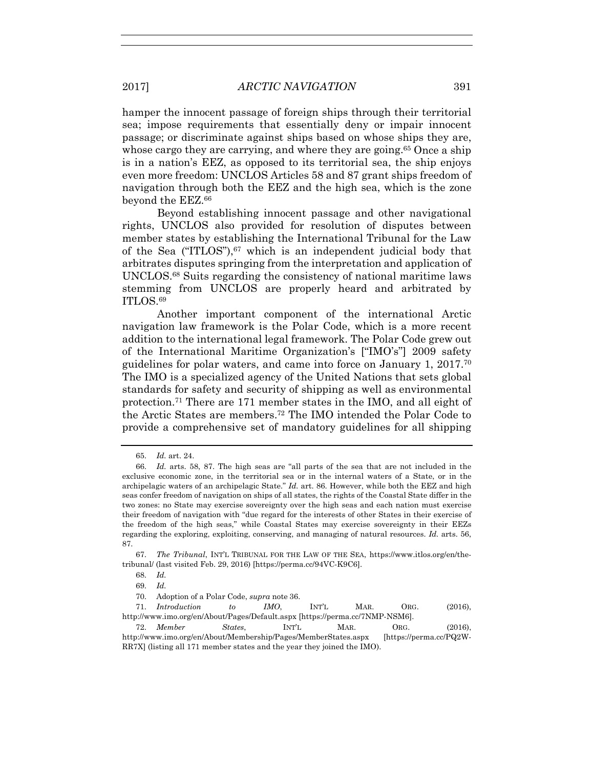hamper the innocent passage of foreign ships through their territorial sea; impose requirements that essentially deny or impair innocent passage; or discriminate against ships based on whose ships they are, whose cargo they are carrying, and where they are going.<sup>65</sup> Once a ship is in a nation's EEZ, as opposed to its territorial sea, the ship enjoys even more freedom: UNCLOS Articles 58 and 87 grant ships freedom of navigation through both the EEZ and the high sea, which is the zone beyond the EEZ.66

Beyond establishing innocent passage and other navigational rights, UNCLOS also provided for resolution of disputes between member states by establishing the International Tribunal for the Law of the Sea  $("ITLOS")$ ,  $67$  which is an independent judicial body that arbitrates disputes springing from the interpretation and application of UNCLOS.68 Suits regarding the consistency of national maritime laws stemming from UNCLOS are properly heard and arbitrated by ITLOS.69

Another important component of the international Arctic navigation law framework is the Polar Code, which is a more recent addition to the international legal framework. The Polar Code grew out of the International Maritime Organization's ["IMO's"] 2009 safety guidelines for polar waters, and came into force on January 1,  $2017$ <sup>70</sup> The IMO is a specialized agency of the United Nations that sets global standards for safety and security of shipping as well as environmental protection.71 There are 171 member states in the IMO, and all eight of the Arctic States are members.72 The IMO intended the Polar Code to provide a comprehensive set of mandatory guidelines for all shipping

 <sup>65.</sup> *Id.* art. 24.

 <sup>66.</sup> *Id.* arts. 58, 87. The high seas are "all parts of the sea that are not included in the exclusive economic zone, in the territorial sea or in the internal waters of a State, or in the archipelagic waters of an archipelagic State." *Id.* art. 86. However, while both the EEZ and high seas confer freedom of navigation on ships of all states, the rights of the Coastal State differ in the two zones: no State may exercise sovereignty over the high seas and each nation must exercise their freedom of navigation with "due regard for the interests of other States in their exercise of the freedom of the high seas," while Coastal States may exercise sovereignty in their EEZs regarding the exploring, exploiting, conserving, and managing of natural resources. *Id.* arts. 56, 87.

 <sup>67.</sup> *The Tribunal*, INT'L TRIBUNAL FOR THE LAW OF THE SEA, https://www.itlos.org/en/thetribunal/ (last visited Feb. 29, 2016) [https://perma.cc/94VC-K9C6].

 <sup>68.</sup> *Id.*

 <sup>69.</sup> *Id.* 

 <sup>70.</sup> Adoption of a Polar Code, *supra* note 36.

 <sup>71.</sup> *Introduction to IMO*, INT'L MAR. ORG. (2016), http://www.imo.org/en/About/Pages/Default.aspx [https://perma.cc/7NMP-NSM6].

 <sup>72.</sup> *Member States*, INT'L MAR. ORG. (2016), http://www.imo.org/en/About/Membership/Pages/MemberStates.aspx [https://perma.cc/PQ2W-RR7X] (listing all 171 member states and the year they joined the IMO).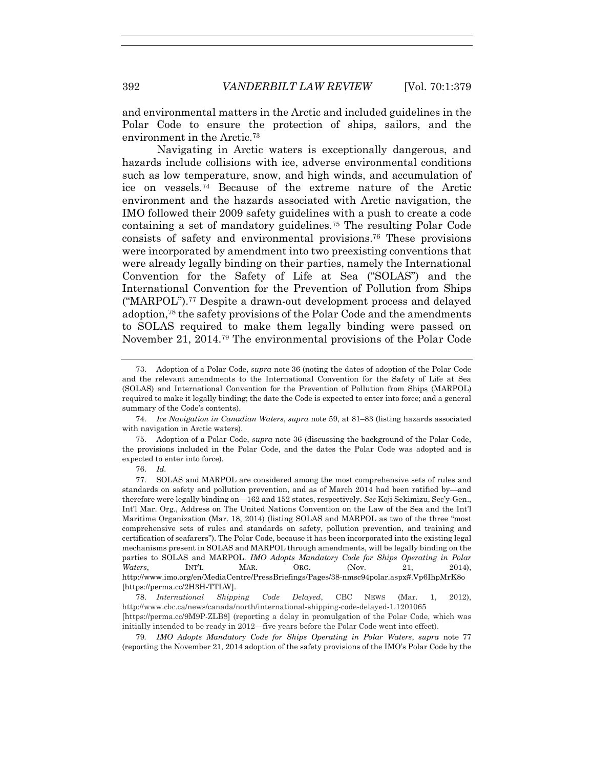and environmental matters in the Arctic and included guidelines in the Polar Code to ensure the protection of ships, sailors, and the environment in the Arctic.73

Navigating in Arctic waters is exceptionally dangerous, and hazards include collisions with ice, adverse environmental conditions such as low temperature, snow, and high winds, and accumulation of ice on vessels.74 Because of the extreme nature of the Arctic environment and the hazards associated with Arctic navigation, the IMO followed their 2009 safety guidelines with a push to create a code containing a set of mandatory guidelines.75 The resulting Polar Code consists of safety and environmental provisions.<sup>76</sup> These provisions were incorporated by amendment into two preexisting conventions that were already legally binding on their parties, namely the International Convention for the Safety of Life at Sea ("SOLAS") and the International Convention for the Prevention of Pollution from Ships ("MARPOL").77 Despite a drawn-out development process and delayed adoption,78 the safety provisions of the Polar Code and the amendments to SOLAS required to make them legally binding were passed on November 21, 2014.79 The environmental provisions of the Polar Code

 74. *Ice Navigation in Canadian Waters*, *supra* note 59, at 81–83 (listing hazards associated with navigation in Arctic waters).

 75. Adoption of a Polar Code, *supra* note 36 (discussing the background of the Polar Code, the provisions included in the Polar Code, and the dates the Polar Code was adopted and is expected to enter into force).

76. *Id.* 

 77. SOLAS and MARPOL are considered among the most comprehensive sets of rules and standards on safety and pollution prevention, and as of March 2014 had been ratified by—and therefore were legally binding on—162 and 152 states, respectively. *See* Koji Sekimizu, Sec'y-Gen., Int'l Mar. Org., Address on The United Nations Convention on the Law of the Sea and the Int'l Maritime Organization (Mar. 18, 2014) (listing SOLAS and MARPOL as two of the three "most comprehensive sets of rules and standards on safety, pollution prevention, and training and certification of seafarers"). The Polar Code, because it has been incorporated into the existing legal mechanisms present in SOLAS and MARPOL through amendments, will be legally binding on the parties to SOLAS and MARPOL. *IMO Adopts Mandatory Code for Ships Operating in Polar Waters*, INT'L MAR. ORG. (Nov. 21, 2014), http://www.imo.org/en/MediaCentre/PressBriefings/Pages/38-nmsc94polar.aspx#.Vp6IhpMrK8o [https://perma.cc/2H3H-TTLW].

 78. *International Shipping Code Delayed*, CBC NEWS (Mar. 1, 2012), http://www.cbc.ca/news/canada/north/international-shipping-code-delayed-1.1201065 [https://perma.cc/9M9P-ZLB8] (reporting a delay in promulgation of the Polar Code, which was initially intended to be ready in 2012—five years before the Polar Code went into effect).

79*. IMO Adopts Mandatory Code for Ships Operating in Polar Waters*, *supra* note 77 (reporting the November 21, 2014 adoption of the safety provisions of the IMO's Polar Code by the

 <sup>73.</sup> Adoption of a Polar Code, *supra* note 36 (noting the dates of adoption of the Polar Code and the relevant amendments to the International Convention for the Safety of Life at Sea (SOLAS) and International Convention for the Prevention of Pollution from Ships (MARPOL) required to make it legally binding; the date the Code is expected to enter into force; and a general summary of the Code's contents).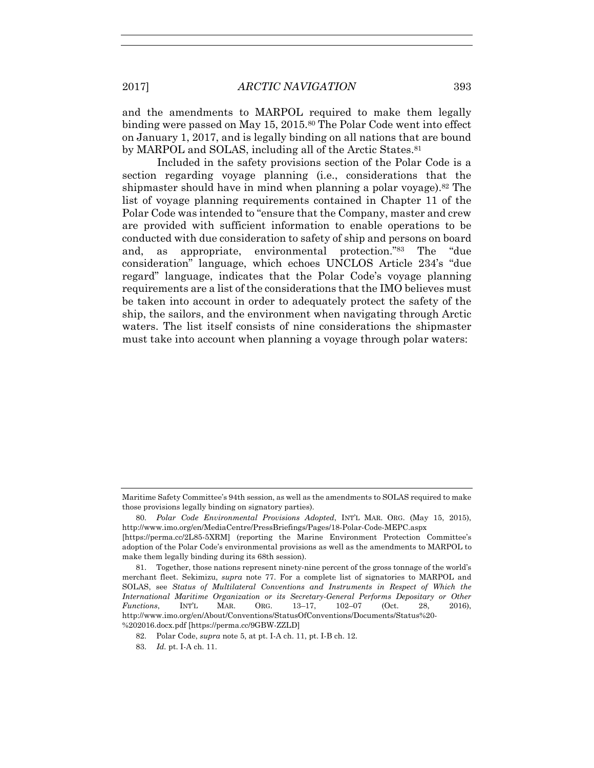and the amendments to MARPOL required to make them legally binding were passed on May 15, 2015.<sup>80</sup> The Polar Code went into effect on January 1, 2017, and is legally binding on all nations that are bound by MARPOL and SOLAS, including all of the Arctic States.<sup>81</sup>

Included in the safety provisions section of the Polar Code is a section regarding voyage planning (i.e., considerations that the shipmaster should have in mind when planning a polar voyage).82 The list of voyage planning requirements contained in Chapter 11 of the Polar Code was intended to "ensure that the Company, master and crew are provided with sufficient information to enable operations to be conducted with due consideration to safety of ship and persons on board and, as appropriate, environmental protection."83 The "due consideration" language, which echoes UNCLOS Article 234's "due regard" language, indicates that the Polar Code's voyage planning requirements are a list of the considerations that the IMO believes must be taken into account in order to adequately protect the safety of the ship, the sailors, and the environment when navigating through Arctic waters. The list itself consists of nine considerations the shipmaster must take into account when planning a voyage through polar waters:

Maritime Safety Committee's 94th session, as well as the amendments to SOLAS required to make those provisions legally binding on signatory parties).

 <sup>80.</sup> *Polar Code Environmental Provisions Adopted*, INT'L MAR. ORG. (May 15, 2015), http://www.imo.org/en/MediaCentre/PressBriefings/Pages/18-Polar-Code-MEPC.aspx [https://perma.cc/2L85-5XRM] (reporting the Marine Environment Protection Committee's adoption of the Polar Code's environmental provisions as well as the amendments to MARPOL to

make them legally binding during its 68th session).

 <sup>81.</sup> Together, those nations represent ninety-nine percent of the gross tonnage of the world's merchant fleet. Sekimizu, *supra* note 77. For a complete list of signatories to MARPOL and SOLAS, see *Status of Multilateral Conventions and Instruments in Respect of Which the International Maritime Organization or its Secretary-General Performs Depositary or Other Functions*, INT'L MAR. ORG. 13–17, 102–07 (Oct. 28, 2016), http://www.imo.org/en/About/Conventions/StatusOfConventions/Documents/Status%20- %202016.docx.pdf [https://perma.cc/9GBW-ZZLD]

 <sup>82.</sup> Polar Code, *supra* note 5, at pt. I-A ch. 11, pt. I-B ch. 12.

 <sup>83.</sup> *Id.* pt. I-A ch. 11.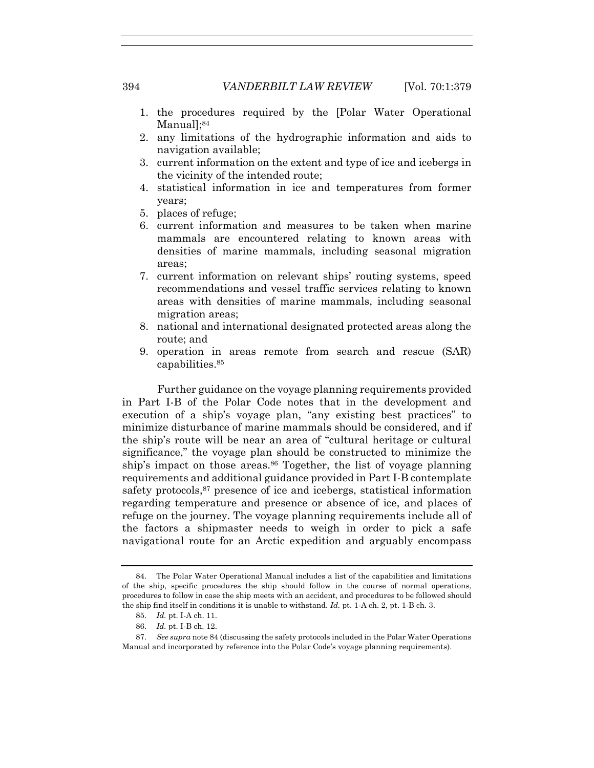- 1. the procedures required by the [Polar Water Operational Manuall;<sup>84</sup>
- 2. any limitations of the hydrographic information and aids to navigation available;
- 3. current information on the extent and type of ice and icebergs in the vicinity of the intended route;
- 4. statistical information in ice and temperatures from former years;
- 5. places of refuge;
- 6. current information and measures to be taken when marine mammals are encountered relating to known areas with densities of marine mammals, including seasonal migration areas;
- 7. current information on relevant ships' routing systems, speed recommendations and vessel traffic services relating to known areas with densities of marine mammals, including seasonal migration areas;
- 8. national and international designated protected areas along the route; and
- 9. operation in areas remote from search and rescue (SAR) capabilities.85

Further guidance on the voyage planning requirements provided in Part I-B of the Polar Code notes that in the development and execution of a ship's voyage plan, "any existing best practices" to minimize disturbance of marine mammals should be considered, and if the ship's route will be near an area of "cultural heritage or cultural significance," the voyage plan should be constructed to minimize the ship's impact on those areas.<sup>86</sup> Together, the list of voyage planning requirements and additional guidance provided in Part I-B contemplate safety protocols,<sup>87</sup> presence of ice and icebergs, statistical information regarding temperature and presence or absence of ice, and places of refuge on the journey. The voyage planning requirements include all of the factors a shipmaster needs to weigh in order to pick a safe navigational route for an Arctic expedition and arguably encompass

 <sup>84.</sup> The Polar Water Operational Manual includes a list of the capabilities and limitations of the ship, specific procedures the ship should follow in the course of normal operations, procedures to follow in case the ship meets with an accident, and procedures to be followed should the ship find itself in conditions it is unable to withstand. *Id.* pt. 1-A ch. 2, pt. 1-B ch. 3.

 <sup>85.</sup> *Id.* pt. I-A ch. 11.

 <sup>86.</sup> *Id.* pt. I-B ch. 12.

 <sup>87.</sup> *See supra* note 84 (discussing the safety protocols included in the Polar Water Operations Manual and incorporated by reference into the Polar Code's voyage planning requirements).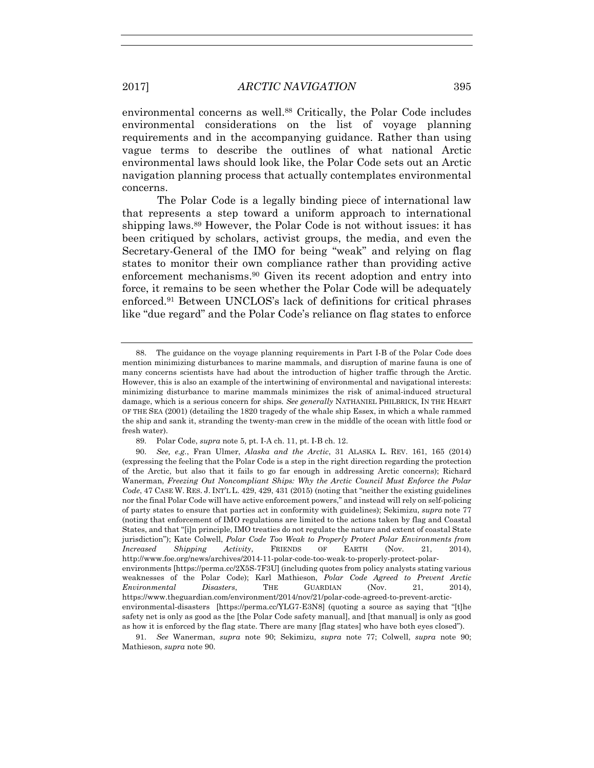environmental concerns as well.<sup>88</sup> Critically, the Polar Code includes environmental considerations on the list of voyage planning requirements and in the accompanying guidance. Rather than using vague terms to describe the outlines of what national Arctic environmental laws should look like, the Polar Code sets out an Arctic navigation planning process that actually contemplates environmental concerns.

The Polar Code is a legally binding piece of international law that represents a step toward a uniform approach to international shipping laws.89 However, the Polar Code is not without issues: it has been critiqued by scholars, activist groups, the media, and even the Secretary-General of the IMO for being "weak" and relying on flag states to monitor their own compliance rather than providing active enforcement mechanisms.90 Given its recent adoption and entry into force, it remains to be seen whether the Polar Code will be adequately enforced.91 Between UNCLOS's lack of definitions for critical phrases like "due regard" and the Polar Code's reliance on flag states to enforce

 <sup>88.</sup> The guidance on the voyage planning requirements in Part I-B of the Polar Code does mention minimizing disturbances to marine mammals, and disruption of marine fauna is one of many concerns scientists have had about the introduction of higher traffic through the Arctic. However, this is also an example of the intertwining of environmental and navigational interests: minimizing disturbance to marine mammals minimizes the risk of animal-induced structural damage, which is a serious concern for ships*. See generally* NATHANIEL PHILBRICK, IN THE HEART OF THE SEA (2001) (detailing the 1820 tragedy of the whale ship Essex, in which a whale rammed the ship and sank it, stranding the twenty-man crew in the middle of the ocean with little food or fresh water).

 <sup>89.</sup> Polar Code, *supra* note 5, pt. I-A ch. 11, pt. I-B ch. 12.

 <sup>90.</sup> *See, e.g.*, Fran Ulmer, *Alaska and the Arctic*, 31 ALASKA L. REV. 161, 165 (2014) (expressing the feeling that the Polar Code is a step in the right direction regarding the protection of the Arctic, but also that it fails to go far enough in addressing Arctic concerns); Richard Wanerman, *Freezing Out Noncompliant Ships: Why the Arctic Council Must Enforce the Polar Code*, 47 CASE W. RES. J. INT'L L. 429, 429, 431 (2015) (noting that "neither the existing guidelines nor the final Polar Code will have active enforcement powers," and instead will rely on self-policing of party states to ensure that parties act in conformity with guidelines); Sekimizu, *supra* note 77 (noting that enforcement of IMO regulations are limited to the actions taken by flag and Coastal States, and that "[i]n principle, IMO treaties do not regulate the nature and extent of coastal State jurisdiction"); Kate Colwell, *Polar Code Too Weak to Properly Protect Polar Environments from Increased Shipping Activity*, FRIENDS OF EARTH (Nov. 21, 2014), http://www.foe.org/news/archives/2014-11-polar-code-too-weak-to-properly-protect-polarenvironments [https://perma.cc/2X5S-7F3U] (including quotes from policy analysts stating various weaknesses of the Polar Code); Karl Mathieson, *Polar Code Agreed to Prevent Arctic Environmental Disasters*, THE GUARDIAN (Nov. 21, 2014), https://www.theguardian.com/environment/2014/nov/21/polar-code-agreed-to-prevent-arcticenvironmental-disasters [https://perma.cc/YLG7-E3N8] (quoting a source as saying that "[t]he safety net is only as good as the [the Polar Code safety manual], and [that manual] is only as good as how it is enforced by the flag state. There are many [flag states] who have both eyes closed").

 <sup>91.</sup> *See* Wanerman, *supra* note 90; Sekimizu, *supra* note 77; Colwell, *supra* note 90; Mathieson, *supra* note 90.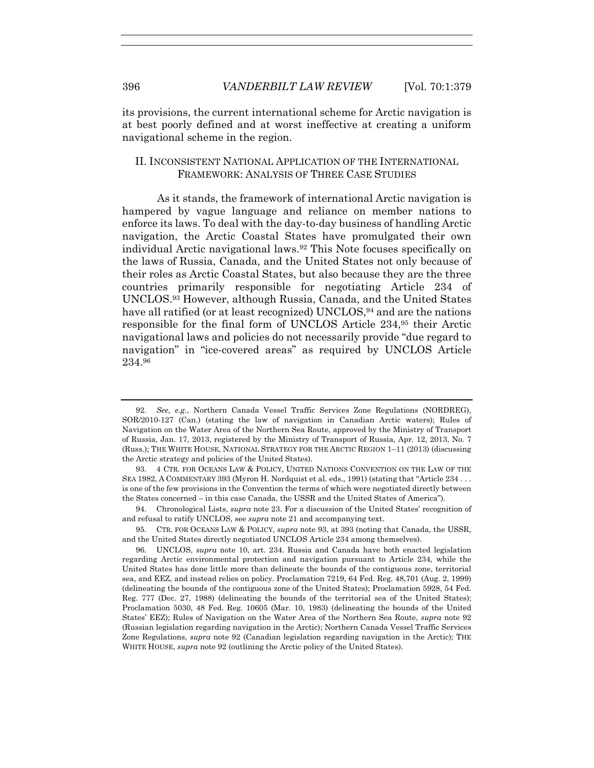its provisions, the current international scheme for Arctic navigation is at best poorly defined and at worst ineffective at creating a uniform navigational scheme in the region.

## II. INCONSISTENT NATIONAL APPLICATION OF THE INTERNATIONAL FRAMEWORK: ANALYSIS OF THREE CASE STUDIES

As it stands, the framework of international Arctic navigation is hampered by vague language and reliance on member nations to enforce its laws. To deal with the day-to-day business of handling Arctic navigation, the Arctic Coastal States have promulgated their own individual Arctic navigational laws.92 This Note focuses specifically on the laws of Russia, Canada, and the United States not only because of their roles as Arctic Coastal States, but also because they are the three countries primarily responsible for negotiating Article 234 of UNCLOS.93 However, although Russia, Canada, and the United States have all ratified (or at least recognized) UNCLOS,<sup>94</sup> and are the nations responsible for the final form of UNCLOS Article 234,95 their Arctic navigational laws and policies do not necessarily provide "due regard to navigation" in "ice-covered areas" as required by UNCLOS Article 234.96

 <sup>92.</sup> *See, e.g.*, Northern Canada Vessel Traffic Services Zone Regulations (NORDREG), SOR/2010-127 (Can.) (stating the law of navigation in Canadian Arctic waters); Rules of Navigation on the Water Area of the Northern Sea Route, approved by the Ministry of Transport of Russia, Jan. 17, 2013, registered by the Ministry of Transport of Russia, Apr. 12, 2013, No. 7 (Russ.); THE WHITE HOUSE, NATIONAL STRATEGY FOR THE ARCTIC REGION 1–11 (2013) (discussing the Arctic strategy and policies of the United States).

 <sup>93. 4</sup> CTR. FOR OCEANS LAW & POLICY, UNITED NATIONS CONVENTION ON THE LAW OF THE SEA 1982, A COMMENTARY 393 (Myron H. Nordquist et al. eds., 1991) (stating that "Article 234 . . . is one of the few provisions in the Convention the terms of which were negotiated directly between the States concerned – in this case Canada, the USSR and the United States of America").

 <sup>94.</sup> Chronological Lists, *supra* note 23. For a discussion of the United States' recognition of and refusal to ratify UNCLOS, see *supra* note 21 and accompanying text.

 <sup>95.</sup> CTR. FOR OCEANS LAW & POLICY, *supra* note 93, at 393 (noting that Canada, the USSR, and the United States directly negotiated UNCLOS Article 234 among themselves).

 <sup>96.</sup> UNCLOS, *supra* note 10, art. 234. Russia and Canada have both enacted legislation regarding Arctic environmental protection and navigation pursuant to Article 234, while the United States has done little more than delineate the bounds of the contiguous zone, territorial sea, and EEZ, and instead relies on policy. Proclamation 7219, 64 Fed. Reg. 48,701 (Aug. 2, 1999) (delineating the bounds of the contiguous zone of the United States); Proclamation 5928, 54 Fed. Reg. 777 (Dec. 27, 1988) (delineating the bounds of the territorial sea of the United States); Proclamation 5030, 48 Fed. Reg. 10605 (Mar. 10, 1983) (delineating the bounds of the United States' EEZ); Rules of Navigation on the Water Area of the Northern Sea Route, *supra* note 92 (Russian legislation regarding navigation in the Arctic); Northern Canada Vessel Traffic Services Zone Regulations, *supra* note 92 (Canadian legislation regarding navigation in the Arctic); THE WHITE HOUSE, *supra* note 92 (outlining the Arctic policy of the United States).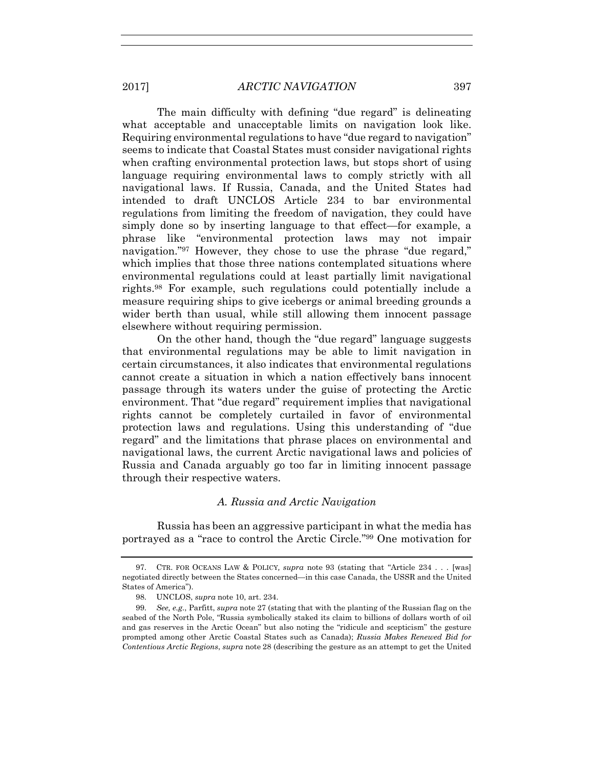The main difficulty with defining "due regard" is delineating what acceptable and unacceptable limits on navigation look like. Requiring environmental regulations to have "due regard to navigation" seems to indicate that Coastal States must consider navigational rights when crafting environmental protection laws, but stops short of using language requiring environmental laws to comply strictly with all navigational laws. If Russia, Canada, and the United States had intended to draft UNCLOS Article 234 to bar environmental regulations from limiting the freedom of navigation, they could have simply done so by inserting language to that effect—for example, a phrase like "environmental protection laws may not impair navigation."97 However, they chose to use the phrase "due regard," which implies that those three nations contemplated situations where environmental regulations could at least partially limit navigational rights.98 For example, such regulations could potentially include a measure requiring ships to give icebergs or animal breeding grounds a wider berth than usual, while still allowing them innocent passage elsewhere without requiring permission.

On the other hand, though the "due regard" language suggests that environmental regulations may be able to limit navigation in certain circumstances, it also indicates that environmental regulations cannot create a situation in which a nation effectively bans innocent passage through its waters under the guise of protecting the Arctic environment. That "due regard" requirement implies that navigational rights cannot be completely curtailed in favor of environmental protection laws and regulations. Using this understanding of "due regard" and the limitations that phrase places on environmental and navigational laws, the current Arctic navigational laws and policies of Russia and Canada arguably go too far in limiting innocent passage through their respective waters.

## *A. Russia and Arctic Navigation*

Russia has been an aggressive participant in what the media has portrayed as a "race to control the Arctic Circle."99 One motivation for

 <sup>97.</sup> CTR. FOR OCEANS LAW & POLICY*, supra* note 93 (stating that "Article 234 . . . [was] negotiated directly between the States concerned—in this case Canada, the USSR and the United States of America").

 <sup>98.</sup> UNCLOS, *supra* note 10, art. 234.

 <sup>99.</sup> *See, e.g.*, Parfitt, *supra* note 27 (stating that with the planting of the Russian flag on the seabed of the North Pole, "Russia symbolically staked its claim to billions of dollars worth of oil and gas reserves in the Arctic Ocean" but also noting the "ridicule and scepticism" the gesture prompted among other Arctic Coastal States such as Canada); *Russia Makes Renewed Bid for Contentious Arctic Regions*, *supra* note 28 (describing the gesture as an attempt to get the United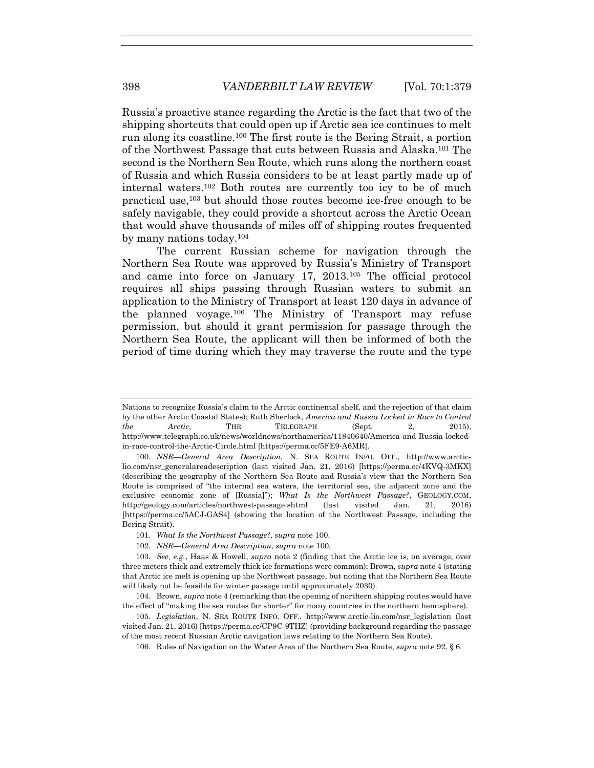Russia's proactive stance regarding the Arctic is the fact that two of the shipping shortcuts that could open up if Arctic sea ice continues to melt run along its coastline.100 The first route is the Bering Strait, a portion of the Northwest Passage that cuts between Russia and Alaska.101 The second is the Northern Sea Route, which runs along the northern coast of Russia and which Russia considers to be at least partly made up of internal waters.102 Both routes are currently too icy to be of much practical use,103 but should those routes become ice-free enough to be safely navigable, they could provide a shortcut across the Arctic Ocean that would shave thousands of miles off of shipping routes frequented by many nations today.104

The current Russian scheme for navigation through the Northern Sea Route was approved by Russia's Ministry of Transport and came into force on January 17, 2013.105 The official protocol requires all ships passing through Russian waters to submit an application to the Ministry of Transport at least 120 days in advance of the planned voyage.106 The Ministry of Transport may refuse permission, but should it grant permission for passage through the Northern Sea Route, the applicant will then be informed of both the period of time during which they may traverse the route and the type

106. Rules of Navigation on the Water Area of the Northern Sea Route, *supra* note 92, § 6.

Nations to recognize Russia's claim to the Arctic continental shelf, and the rejection of that claim by the other Arctic Coastal States); Ruth Sherlock, *America and Russia Locked in Race to Control the Arctic*, THE TELEGRAPH (Sept. 2, 2015). http://www.telegraph.co.uk/news/worldnews/northamerica/11840640/America-and-Russia-lockedin-race-control-the-Arctic-Circle.html [https://perma.cc/5FE9-A6MR].

 <sup>100.</sup> *NSR—General Area Description*, N. SEA ROUTE INFO. OFF., http://www.arcticlio.com/nsr\_generalareadescription (last visited Jan. 21, 2016) [https://perma.cc/4KVQ-3MKX] (describing the geography of the Northern Sea Route and Russia's view that the Northern Sea Route is comprised of "the internal sea waters, the territorial sea, the adjacent zone and the exclusive economic zone of [Russia]"); *What Is the Northwest Passage?*, GEOLOGY.COM, http://geology.com/articles/northwest-passage.shtml (last visited Jan. 21, 2016) [https://perma.cc/5ACJ-GAS4] (showing the location of the Northwest Passage, including the Bering Strait).

 <sup>101.</sup> *What Is the Northwest Passage?*, *supra* note 100.

 <sup>102.</sup> *NSR—General Area Description*, *supra* note 100*.*

 <sup>103.</sup> *See, e.g.*, Haas & Howell, *supra* note 2 (finding that the Arctic ice is, on average, over three meters thick and extremely thick ice formations were common); Brown, *supra* note 4 (stating that Arctic ice melt is opening up the Northwest passage, but noting that the Northern Sea Route will likely not be feasible for winter passage until approximately 2030).

 <sup>104.</sup> Brown, *supra* note 4 (remarking that the opening of northern shipping routes would have the effect of "making the sea routes far shorter" for many countries in the northern hemisphere).

 <sup>105.</sup> *Legislation*, N. SEA ROUTE INFO. OFF., http://www.arctic-lio.com/nsr\_legislation (last visited Jan. 21, 2016) [https://perma.cc/CP9C-9THZ] (providing background regarding the passage of the most recent Russian Arctic navigation laws relating to the Northern Sea Route).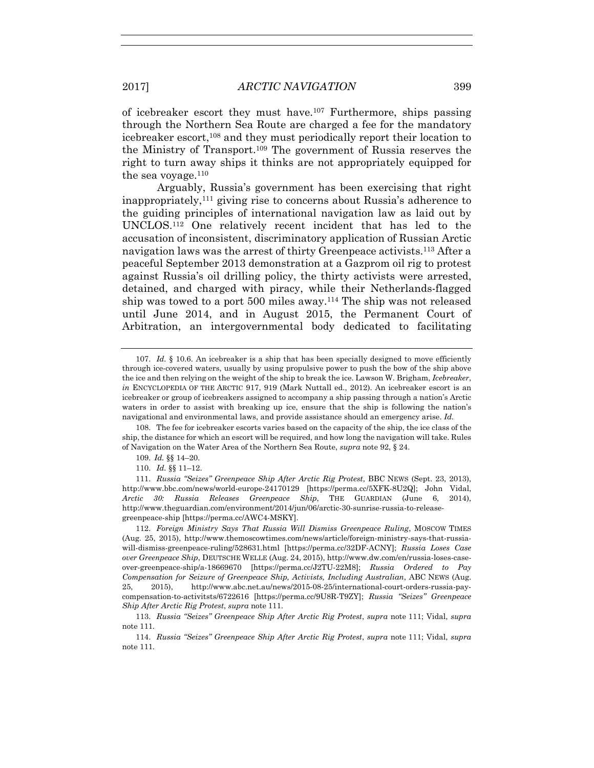of icebreaker escort they must have.<sup>107</sup> Furthermore, ships passing through the Northern Sea Route are charged a fee for the mandatory icebreaker escort,108 and they must periodically report their location to the Ministry of Transport.109 The government of Russia reserves the right to turn away ships it thinks are not appropriately equipped for the sea voyage.<sup>110</sup>

Arguably, Russia's government has been exercising that right inappropriately,111 giving rise to concerns about Russia's adherence to the guiding principles of international navigation law as laid out by UNCLOS.112 One relatively recent incident that has led to the accusation of inconsistent, discriminatory application of Russian Arctic navigation laws was the arrest of thirty Greenpeace activists.113 After a peaceful September 2013 demonstration at a Gazprom oil rig to protest against Russia's oil drilling policy, the thirty activists were arrested, detained, and charged with piracy, while their Netherlands-flagged ship was towed to a port 500 miles away.114 The ship was not released until June 2014, and in August 2015, the Permanent Court of Arbitration, an intergovernmental body dedicated to facilitating

110. *Id.* §§ 11–12.

 <sup>107.</sup> *Id.* § 10.6. An icebreaker is a ship that has been specially designed to move efficiently through ice-covered waters, usually by using propulsive power to push the bow of the ship above the ice and then relying on the weight of the ship to break the ice. Lawson W. Brigham, *Icebreaker*, *in* ENCYCLOPEDIA OF THE ARCTIC 917, 919 (Mark Nuttall ed., 2012). An icebreaker escort is an icebreaker or group of icebreakers assigned to accompany a ship passing through a nation's Arctic waters in order to assist with breaking up ice, ensure that the ship is following the nation's navigational and environmental laws, and provide assistance should an emergency arise. *Id.*

 <sup>108.</sup> The fee for icebreaker escorts varies based on the capacity of the ship, the ice class of the ship, the distance for which an escort will be required, and how long the navigation will take. Rules of Navigation on the Water Area of the Northern Sea Route, *supra* note 92, § 24.

 <sup>109.</sup> *Id.* §§ 14–20.

 <sup>111.</sup> *Russia "Seizes" Greenpeace Ship After Arctic Rig Protest*, BBC NEWS (Sept. 23, 2013), http://www.bbc.com/news/world-europe-24170129 [https://perma.cc/5XFK-8U2Q]; John Vidal, *Arctic 30: Russia Releases Greenpeace Ship*, THE GUARDIAN (June 6, 2014), http://www.theguardian.com/environment/2014/jun/06/arctic-30-sunrise-russia-to-releasegreenpeace-ship [https://perma.cc/AWC4-MSKY].

 <sup>112.</sup> *Foreign Ministry Says That Russia Will Dismiss Greenpeace Ruling*, MOSCOW TIMES (Aug. 25, 2015), http://www.themoscowtimes.com/news/article/foreign-ministry-says-that-russiawill-dismiss-greenpeace-ruling/528631.html [https://perma.cc/32DF-ACNY]; *Russia Loses Case over Greenpeace Ship*, DEUTSCHE WELLE (Aug. 24, 2015), http://www.dw.com/en/russia-loses-caseover-greenpeace-ship/a-18669670 [https://perma.cc/J2TU-22M8]; *Russia Ordered to Pay Compensation for Seizure of Greenpeace Ship, Activists, Including Australian*, ABC NEWS (Aug. 25, 2015), http://www.abc.net.au/news/2015-08-25/international-court-orders-russia-paycompensation-to-activitsts/6722616 [https://perma.cc/9U8R-T9ZY]; *Russia "Seizes" Greenpeace Ship After Arctic Rig Protest*, *supra* note 111.

 <sup>113.</sup> *Russia "Seizes" Greenpeace Ship After Arctic Rig Protest*, *supra* note 111; Vidal, *supra* note 111*.*

 <sup>114.</sup> *Russia "Seizes" Greenpeace Ship After Arctic Rig Protest*, *supra* note 111; Vidal, *supra* note 111*.*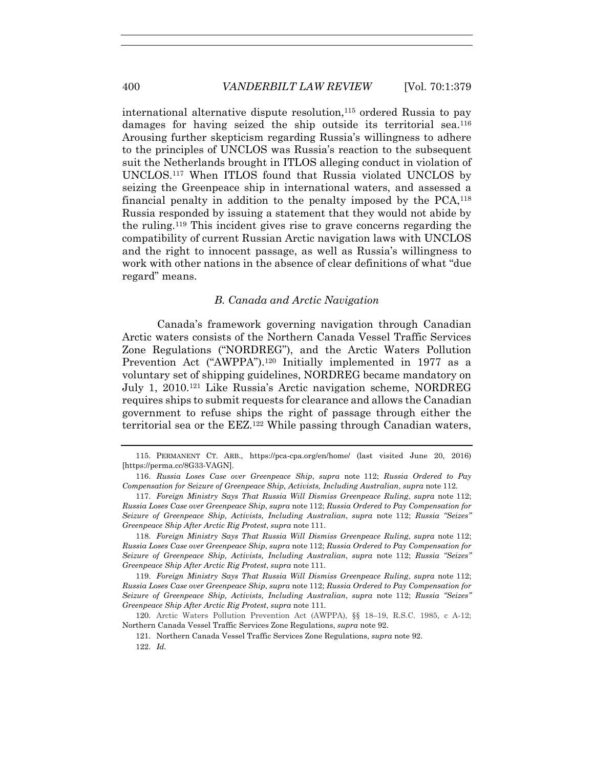international alternative dispute resolution,  $115$  ordered Russia to pay damages for having seized the ship outside its territorial sea.116 Arousing further skepticism regarding Russia's willingness to adhere to the principles of UNCLOS was Russia's reaction to the subsequent suit the Netherlands brought in ITLOS alleging conduct in violation of UNCLOS.117 When ITLOS found that Russia violated UNCLOS by seizing the Greenpeace ship in international waters, and assessed a financial penalty in addition to the penalty imposed by the  $PCA<sub>118</sub>$ Russia responded by issuing a statement that they would not abide by the ruling.119 This incident gives rise to grave concerns regarding the compatibility of current Russian Arctic navigation laws with UNCLOS and the right to innocent passage, as well as Russia's willingness to work with other nations in the absence of clear definitions of what "due regard" means.

#### *B. Canada and Arctic Navigation*

Canada's framework governing navigation through Canadian Arctic waters consists of the Northern Canada Vessel Traffic Services Zone Regulations ("NORDREG"), and the Arctic Waters Pollution Prevention Act ("AWPPA").<sup>120</sup> Initially implemented in 1977 as a voluntary set of shipping guidelines, NORDREG became mandatory on July 1, 2010.121 Like Russia's Arctic navigation scheme, NORDREG requires ships to submit requests for clearance and allows the Canadian government to refuse ships the right of passage through either the territorial sea or the EEZ.122 While passing through Canadian waters,

 <sup>115.</sup> PERMANENT CT. ARB., https://pca-cpa.org/en/home/ (last visited June 20, 2016) [https://perma.cc/8G33-VAGN].

 <sup>116.</sup> *Russia Loses Case over Greenpeace Ship*, *supra* note 112; *Russia Ordered to Pay Compensation for Seizure of Greenpeace Ship, Activists, Including Australian*, *supra* note 112*.*

 <sup>117.</sup> *Foreign Ministry Says That Russia Will Dismiss Greenpeace Ruling*, *supra* note 112; *Russia Loses Case over Greenpeace Ship*, *supra* note 112; *Russia Ordered to Pay Compensation for Seizure of Greenpeace Ship, Activists, Including Australian*, *supra* note 112; *Russia "Seizes" Greenpeace Ship After Arctic Rig Protest*, *supra* note 111.

<sup>118</sup>*. Foreign Ministry Says That Russia Will Dismiss Greenpeace Ruling*, *supra* note 112; *Russia Loses Case over Greenpeace Ship*, *supra* note 112; *Russia Ordered to Pay Compensation for Seizure of Greenpeace Ship, Activists, Including Australian*, *supra* note 112; *Russia "Seizes" Greenpeace Ship After Arctic Rig Protest*, *supra* note 111*.*

 <sup>119.</sup> *Foreign Ministry Says That Russia Will Dismiss Greenpeace Ruling*, *supra* note 112; *Russia Loses Case over Greenpeace Ship*, *supra* note 112; *Russia Ordered to Pay Compensation for Seizure of Greenpeace Ship, Activists, Including Australian*, *supra* note 112; *Russia "Seizes" Greenpeace Ship After Arctic Rig Protest*, *supra* note 111*.*

 <sup>120.</sup> Arctic Waters Pollution Prevention Act (AWPPA), §§ 18–19, R.S.C. 1985, c A-12; Northern Canada Vessel Traffic Services Zone Regulations, *supra* note 92.

 <sup>121.</sup> Northern Canada Vessel Traffic Services Zone Regulations, *supra* note 92.

 <sup>122.</sup> *Id.*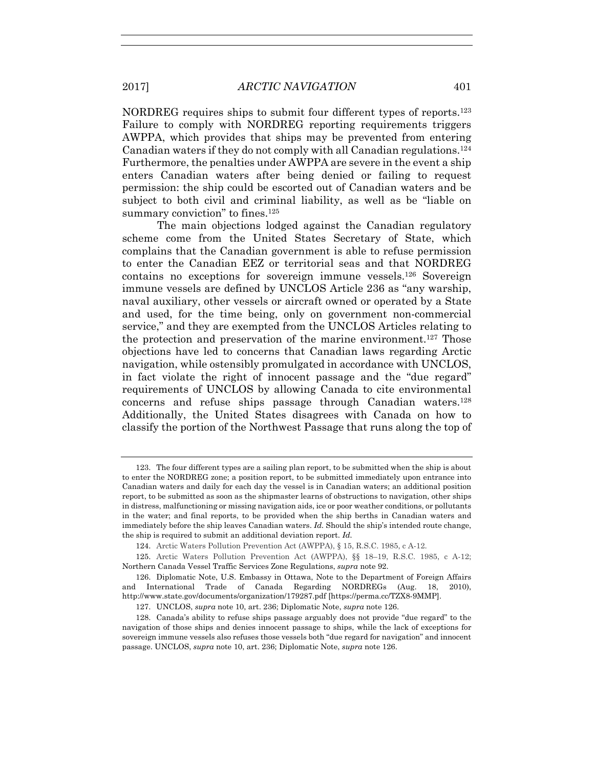NORDREG requires ships to submit four different types of reports.123 Failure to comply with NORDREG reporting requirements triggers AWPPA, which provides that ships may be prevented from entering Canadian waters if they do not comply with all Canadian regulations.124 Furthermore, the penalties under AWPPA are severe in the event a ship enters Canadian waters after being denied or failing to request permission: the ship could be escorted out of Canadian waters and be subject to both civil and criminal liability, as well as be "liable on summary conviction" to fines.<sup>125</sup>

The main objections lodged against the Canadian regulatory scheme come from the United States Secretary of State, which complains that the Canadian government is able to refuse permission to enter the Canadian EEZ or territorial seas and that NORDREG contains no exceptions for sovereign immune vessels.126 Sovereign immune vessels are defined by UNCLOS Article 236 as "any warship, naval auxiliary, other vessels or aircraft owned or operated by a State and used, for the time being, only on government non-commercial service," and they are exempted from the UNCLOS Articles relating to the protection and preservation of the marine environment.127 Those objections have led to concerns that Canadian laws regarding Arctic navigation, while ostensibly promulgated in accordance with UNCLOS, in fact violate the right of innocent passage and the "due regard" requirements of UNCLOS by allowing Canada to cite environmental concerns and refuse ships passage through Canadian waters.128 Additionally, the United States disagrees with Canada on how to classify the portion of the Northwest Passage that runs along the top of

 <sup>123.</sup> The four different types are a sailing plan report, to be submitted when the ship is about to enter the NORDREG zone; a position report, to be submitted immediately upon entrance into Canadian waters and daily for each day the vessel is in Canadian waters; an additional position report, to be submitted as soon as the shipmaster learns of obstructions to navigation, other ships in distress, malfunctioning or missing navigation aids, ice or poor weather conditions, or pollutants in the water; and final reports, to be provided when the ship berths in Canadian waters and immediately before the ship leaves Canadian waters. *Id.* Should the ship's intended route change, the ship is required to submit an additional deviation report. *Id.*

 <sup>124.</sup> Arctic Waters Pollution Prevention Act (AWPPA), § 15, R.S.C. 1985, c A-12.

 <sup>125.</sup> Arctic Waters Pollution Prevention Act (AWPPA), §§ 18–19, R.S.C. 1985, c A-12; Northern Canada Vessel Traffic Services Zone Regulations, *supra* note 92.

 <sup>126.</sup> Diplomatic Note, U.S. Embassy in Ottawa, Note to the Department of Foreign Affairs and International Trade of Canada Regarding NORDREGs (Aug. 18, 2010), http://www.state.gov/documents/organization/179287.pdf [https://perma.cc/TZX8-9MMP].

 <sup>127.</sup> UNCLOS, *supra* note 10, art. 236; Diplomatic Note, *supra* note 126.

 <sup>128.</sup> Canada's ability to refuse ships passage arguably does not provide "due regard" to the navigation of those ships and denies innocent passage to ships, while the lack of exceptions for sovereign immune vessels also refuses those vessels both "due regard for navigation" and innocent passage. UNCLOS, *supra* note 10, art. 236; Diplomatic Note, *supra* note 126.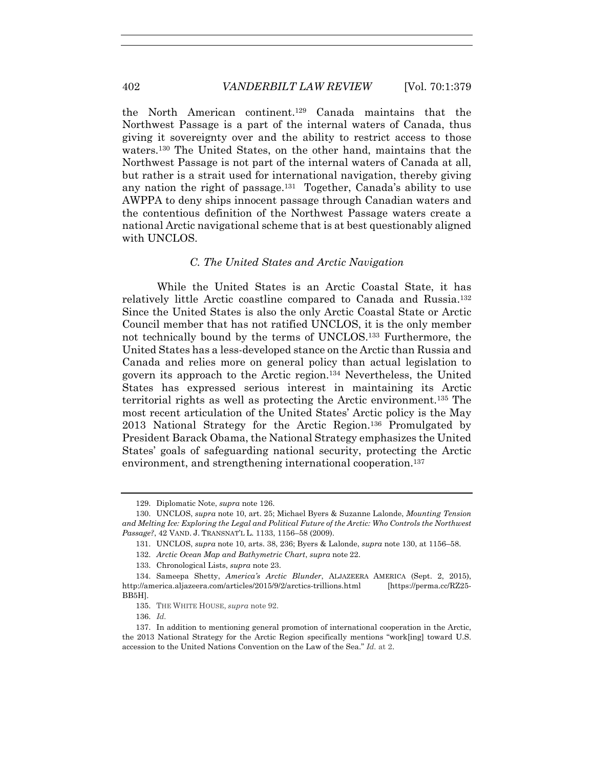the North American continent.129 Canada maintains that the Northwest Passage is a part of the internal waters of Canada, thus giving it sovereignty over and the ability to restrict access to those waters.130 The United States, on the other hand, maintains that the Northwest Passage is not part of the internal waters of Canada at all, but rather is a strait used for international navigation, thereby giving any nation the right of passage.131 Together, Canada's ability to use AWPPA to deny ships innocent passage through Canadian waters and the contentious definition of the Northwest Passage waters create a national Arctic navigational scheme that is at best questionably aligned with UNCLOS.

## *C. The United States and Arctic Navigation*

While the United States is an Arctic Coastal State, it has relatively little Arctic coastline compared to Canada and Russia.132 Since the United States is also the only Arctic Coastal State or Arctic Council member that has not ratified UNCLOS, it is the only member not technically bound by the terms of UNCLOS.133 Furthermore, the United States has a less-developed stance on the Arctic than Russia and Canada and relies more on general policy than actual legislation to govern its approach to the Arctic region.134 Nevertheless, the United States has expressed serious interest in maintaining its Arctic territorial rights as well as protecting the Arctic environment.135 The most recent articulation of the United States' Arctic policy is the May 2013 National Strategy for the Arctic Region.136 Promulgated by President Barack Obama, the National Strategy emphasizes the United States' goals of safeguarding national security, protecting the Arctic environment, and strengthening international cooperation.<sup>137</sup>

 <sup>129.</sup> Diplomatic Note, *supra* note 126.

 <sup>130.</sup> UNCLOS, *supra* note 10, art. 25; Michael Byers & Suzanne Lalonde, *Mounting Tension and Melting Ice: Exploring the Legal and Political Future of the Arctic: Who Controls the Northwest Passage?*, 42 VAND. J. TRANSNAT'L L. 1133, 1156–58 (2009).

 <sup>131.</sup> UNCLOS, *supra* note 10, arts. 38, 236; Byers & Lalonde, *supra* note 130, at 1156–58.

 <sup>132.</sup> *Arctic Ocean Map and Bathymetric Chart*, *supra* note 22.

 <sup>133.</sup> Chronological Lists, *supra* note 23.

 <sup>134.</sup> Sameepa Shetty, *America's Arctic Blunder*, ALJAZEERA AMERICA (Sept. 2, 2015), http://america.aljazeera.com/articles/2015/9/2/arctics-trillions.html [https://perma.cc/RZ25- BB5H].

 <sup>135.</sup> THE WHITE HOUSE, *supra* note 92.

 <sup>136.</sup> *Id.*

 <sup>137.</sup> In addition to mentioning general promotion of international cooperation in the Arctic, the 2013 National Strategy for the Arctic Region specifically mentions "work[ing] toward U.S. accession to the United Nations Convention on the Law of the Sea." *Id.* at 2.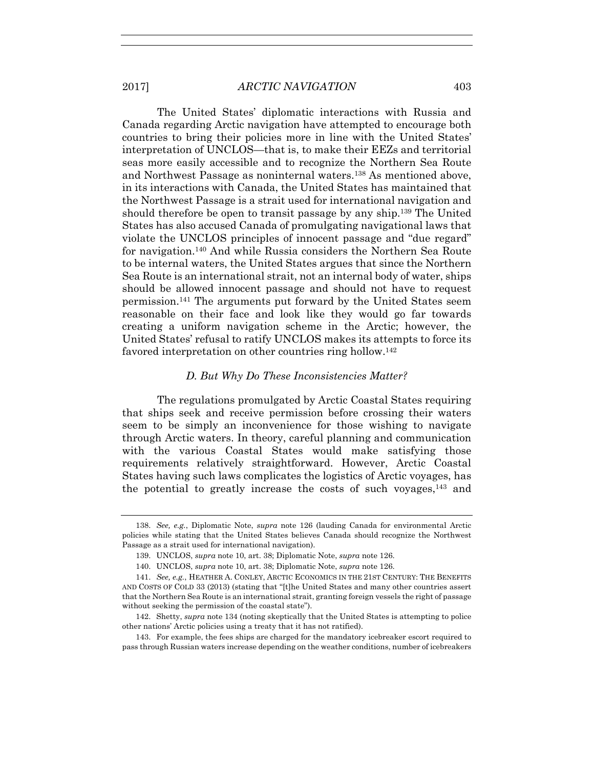The United States' diplomatic interactions with Russia and Canada regarding Arctic navigation have attempted to encourage both countries to bring their policies more in line with the United States' interpretation of UNCLOS—that is, to make their EEZs and territorial seas more easily accessible and to recognize the Northern Sea Route and Northwest Passage as noninternal waters.138 As mentioned above, in its interactions with Canada, the United States has maintained that the Northwest Passage is a strait used for international navigation and should therefore be open to transit passage by any ship.139 The United States has also accused Canada of promulgating navigational laws that violate the UNCLOS principles of innocent passage and "due regard" for navigation.140 And while Russia considers the Northern Sea Route to be internal waters, the United States argues that since the Northern Sea Route is an international strait, not an internal body of water, ships should be allowed innocent passage and should not have to request permission.141 The arguments put forward by the United States seem reasonable on their face and look like they would go far towards creating a uniform navigation scheme in the Arctic; however, the United States' refusal to ratify UNCLOS makes its attempts to force its favored interpretation on other countries ring hollow.142

## *D. But Why Do These Inconsistencies Matter?*

The regulations promulgated by Arctic Coastal States requiring that ships seek and receive permission before crossing their waters seem to be simply an inconvenience for those wishing to navigate through Arctic waters. In theory, careful planning and communication with the various Coastal States would make satisfying those requirements relatively straightforward. However, Arctic Coastal States having such laws complicates the logistics of Arctic voyages, has the potential to greatly increase the costs of such voyages,143 and

 <sup>138.</sup> *See, e.g.*, Diplomatic Note, *supra* note 126 (lauding Canada for environmental Arctic policies while stating that the United States believes Canada should recognize the Northwest Passage as a strait used for international navigation).

 <sup>139.</sup> UNCLOS, *supra* note 10, art. 38; Diplomatic Note, *supra* note 126.

 <sup>140.</sup> UNCLOS, *supra* note 10, art. 38; Diplomatic Note, *supra* note 126.

 <sup>141.</sup> *See, e.g.*, HEATHER A. CONLEY, ARCTIC ECONOMICS IN THE 21ST CENTURY: THE BENEFITS AND COSTS OF COLD 33 (2013) (stating that "[t]he United States and many other countries assert that the Northern Sea Route is an international strait, granting foreign vessels the right of passage without seeking the permission of the coastal state").

 <sup>142.</sup> Shetty, *supra* note 134 (noting skeptically that the United States is attempting to police other nations' Arctic policies using a treaty that it has not ratified).

 <sup>143.</sup> For example, the fees ships are charged for the mandatory icebreaker escort required to pass through Russian waters increase depending on the weather conditions, number of icebreakers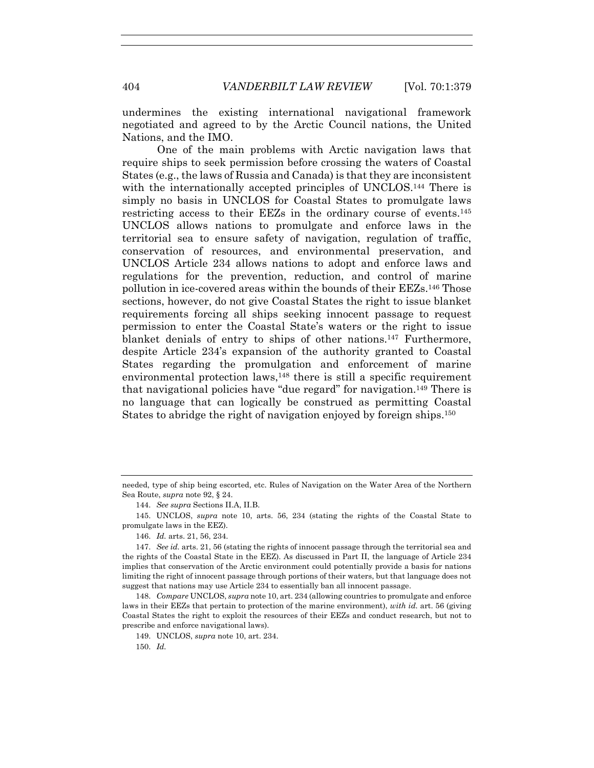undermines the existing international navigational framework negotiated and agreed to by the Arctic Council nations, the United Nations, and the IMO.

One of the main problems with Arctic navigation laws that require ships to seek permission before crossing the waters of Coastal States (e.g., the laws of Russia and Canada) is that they are inconsistent with the internationally accepted principles of UNCLOS.<sup>144</sup> There is simply no basis in UNCLOS for Coastal States to promulgate laws restricting access to their EEZs in the ordinary course of events.145 UNCLOS allows nations to promulgate and enforce laws in the territorial sea to ensure safety of navigation, regulation of traffic, conservation of resources, and environmental preservation, and UNCLOS Article 234 allows nations to adopt and enforce laws and regulations for the prevention, reduction, and control of marine pollution in ice-covered areas within the bounds of their EEZs.146 Those sections, however, do not give Coastal States the right to issue blanket requirements forcing all ships seeking innocent passage to request permission to enter the Coastal State's waters or the right to issue blanket denials of entry to ships of other nations.147 Furthermore, despite Article 234's expansion of the authority granted to Coastal States regarding the promulgation and enforcement of marine environmental protection laws,<sup>148</sup> there is still a specific requirement that navigational policies have "due regard" for navigation.149 There is no language that can logically be construed as permitting Coastal States to abridge the right of navigation enjoyed by foreign ships.150

150. *Id.*

needed, type of ship being escorted, etc. Rules of Navigation on the Water Area of the Northern Sea Route, *supra* note 92, § 24.

 <sup>144.</sup> *See supra* Sections II.A, II.B.

 <sup>145.</sup> UNCLOS, *supra* note 10, arts. 56, 234 (stating the rights of the Coastal State to promulgate laws in the EEZ).

 <sup>146.</sup> *Id.* arts. 21, 56, 234.

 <sup>147.</sup> *See id.* arts. 21, 56 (stating the rights of innocent passage through the territorial sea and the rights of the Coastal State in the EEZ). As discussed in Part II, the language of Article 234 implies that conservation of the Arctic environment could potentially provide a basis for nations limiting the right of innocent passage through portions of their waters, but that language does not suggest that nations may use Article 234 to essentially ban all innocent passage.

 <sup>148.</sup> *Compare* UNCLOS, *supra* note 10, art. 234 (allowing countries to promulgate and enforce laws in their EEZs that pertain to protection of the marine environment), *with id.* art. 56 (giving Coastal States the right to exploit the resources of their EEZs and conduct research, but not to prescribe and enforce navigational laws).

 <sup>149.</sup> UNCLOS, *supra* note 10, art. 234.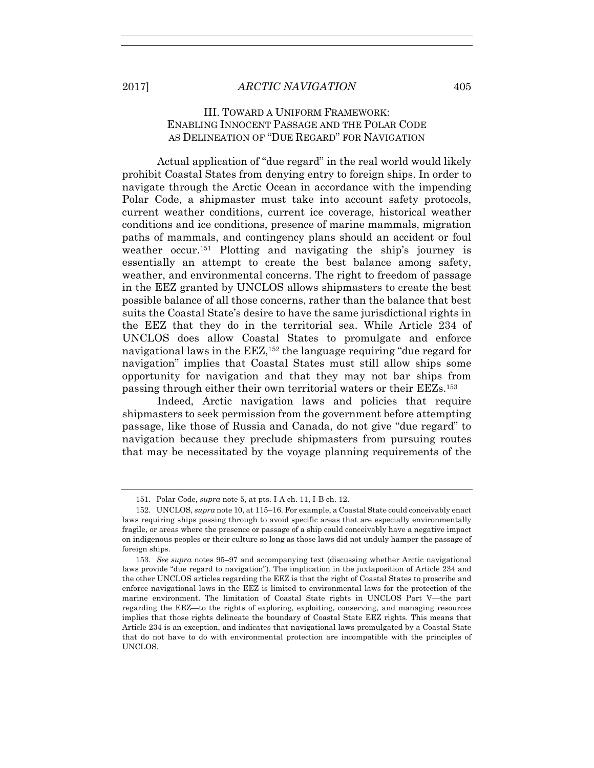# III. TOWARD A UNIFORM FRAMEWORK: ENABLING INNOCENT PASSAGE AND THE POLAR CODE AS DELINEATION OF "DUE REGARD" FOR NAVIGATION

Actual application of "due regard" in the real world would likely prohibit Coastal States from denying entry to foreign ships. In order to navigate through the Arctic Ocean in accordance with the impending Polar Code, a shipmaster must take into account safety protocols, current weather conditions, current ice coverage, historical weather conditions and ice conditions, presence of marine mammals, migration paths of mammals, and contingency plans should an accident or foul weather occur.151 Plotting and navigating the ship's journey is essentially an attempt to create the best balance among safety, weather, and environmental concerns. The right to freedom of passage in the EEZ granted by UNCLOS allows shipmasters to create the best possible balance of all those concerns, rather than the balance that best suits the Coastal State's desire to have the same jurisdictional rights in the EEZ that they do in the territorial sea. While Article 234 of UNCLOS does allow Coastal States to promulgate and enforce navigational laws in the  $E\llsub>2$ ,  $152$  the language requiring "due regard for navigation" implies that Coastal States must still allow ships some opportunity for navigation and that they may not bar ships from passing through either their own territorial waters or their EEZs.153

Indeed, Arctic navigation laws and policies that require shipmasters to seek permission from the government before attempting passage, like those of Russia and Canada, do not give "due regard" to navigation because they preclude shipmasters from pursuing routes that may be necessitated by the voyage planning requirements of the

 <sup>151.</sup> Polar Code, *supra* note 5, at pts. I-A ch. 11, I-B ch. 12.

 <sup>152.</sup> UNCLOS, *supra* note 10, at 115–16. For example, a Coastal State could conceivably enact laws requiring ships passing through to avoid specific areas that are especially environmentally fragile, or areas where the presence or passage of a ship could conceivably have a negative impact on indigenous peoples or their culture so long as those laws did not unduly hamper the passage of foreign ships.

 <sup>153.</sup> *See supra* notes 95–97 and accompanying text (discussing whether Arctic navigational laws provide "due regard to navigation"). The implication in the juxtaposition of Article 234 and the other UNCLOS articles regarding the EEZ is that the right of Coastal States to proscribe and enforce navigational laws in the EEZ is limited to environmental laws for the protection of the marine environment. The limitation of Coastal State rights in UNCLOS Part V—the part regarding the EEZ—to the rights of exploring, exploiting, conserving, and managing resources implies that those rights delineate the boundary of Coastal State EEZ rights. This means that Article 234 is an exception, and indicates that navigational laws promulgated by a Coastal State that do not have to do with environmental protection are incompatible with the principles of UNCLOS.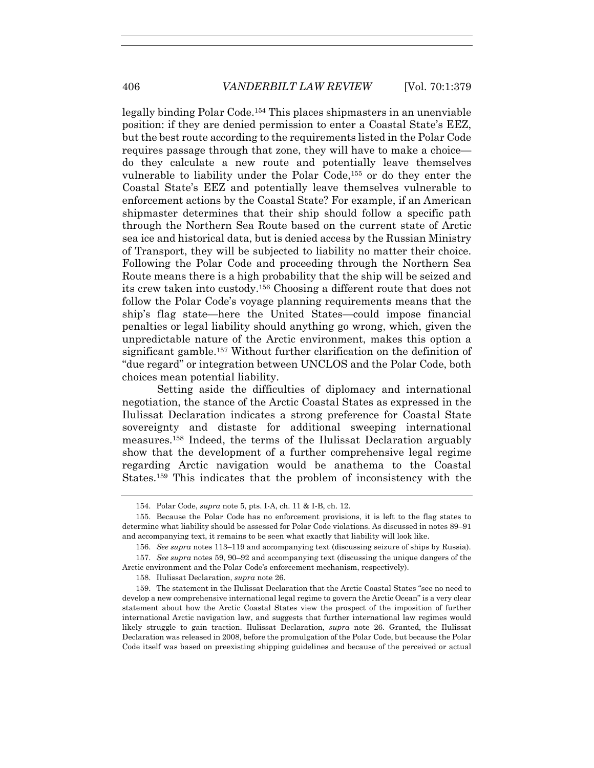legally binding Polar Code.154 This places shipmasters in an unenviable position: if they are denied permission to enter a Coastal State's EEZ, but the best route according to the requirements listed in the Polar Code requires passage through that zone, they will have to make a choice do they calculate a new route and potentially leave themselves vulnerable to liability under the Polar Code,155 or do they enter the Coastal State's EEZ and potentially leave themselves vulnerable to enforcement actions by the Coastal State? For example, if an American shipmaster determines that their ship should follow a specific path through the Northern Sea Route based on the current state of Arctic sea ice and historical data, but is denied access by the Russian Ministry of Transport, they will be subjected to liability no matter their choice. Following the Polar Code and proceeding through the Northern Sea Route means there is a high probability that the ship will be seized and its crew taken into custody.156 Choosing a different route that does not follow the Polar Code's voyage planning requirements means that the ship's flag state—here the United States—could impose financial penalties or legal liability should anything go wrong, which, given the unpredictable nature of the Arctic environment, makes this option a significant gamble.157 Without further clarification on the definition of "due regard" or integration between UNCLOS and the Polar Code, both choices mean potential liability.

Setting aside the difficulties of diplomacy and international negotiation, the stance of the Arctic Coastal States as expressed in the Ilulissat Declaration indicates a strong preference for Coastal State sovereignty and distaste for additional sweeping international measures.158 Indeed, the terms of the Ilulissat Declaration arguably show that the development of a further comprehensive legal regime regarding Arctic navigation would be anathema to the Coastal States.159 This indicates that the problem of inconsistency with the

 157. *See supra* notes 59, 90–92 and accompanying text (discussing the unique dangers of the Arctic environment and the Polar Code's enforcement mechanism, respectively).

158. Ilulissat Declaration, *supra* note 26.

 <sup>154.</sup> Polar Code, *supra* note 5, pts. I-A, ch. 11 & I-B, ch. 12.

 <sup>155.</sup> Because the Polar Code has no enforcement provisions, it is left to the flag states to determine what liability should be assessed for Polar Code violations. As discussed in notes 89–91 and accompanying text, it remains to be seen what exactly that liability will look like.

 <sup>156.</sup> *See supra* notes 113–119 and accompanying text (discussing seizure of ships by Russia).

 <sup>159.</sup> The statement in the Ilulissat Declaration that the Arctic Coastal States "see no need to develop a new comprehensive international legal regime to govern the Arctic Ocean" is a very clear statement about how the Arctic Coastal States view the prospect of the imposition of further international Arctic navigation law, and suggests that further international law regimes would likely struggle to gain traction. Ilulissat Declaration, *supra* note 26. Granted, the Ilulissat Declaration was released in 2008, before the promulgation of the Polar Code, but because the Polar Code itself was based on preexisting shipping guidelines and because of the perceived or actual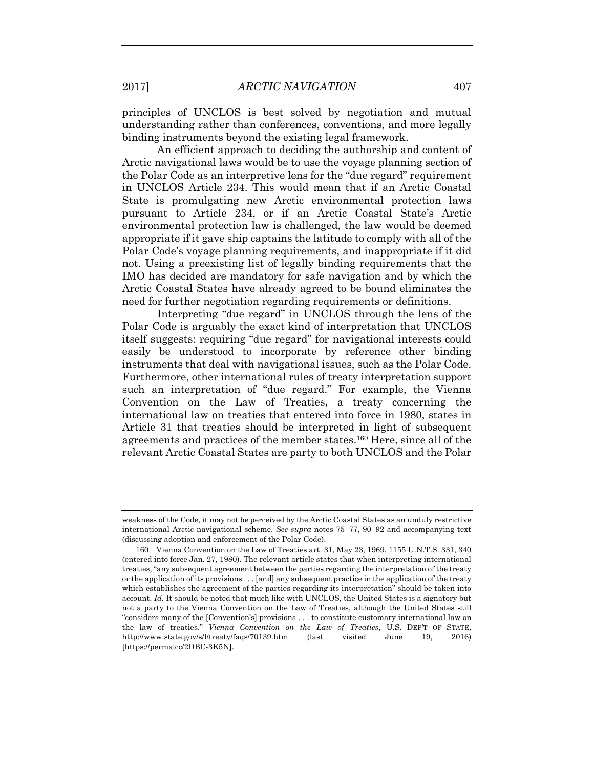principles of UNCLOS is best solved by negotiation and mutual understanding rather than conferences, conventions, and more legally binding instruments beyond the existing legal framework.

An efficient approach to deciding the authorship and content of Arctic navigational laws would be to use the voyage planning section of the Polar Code as an interpretive lens for the "due regard" requirement in UNCLOS Article 234. This would mean that if an Arctic Coastal State is promulgating new Arctic environmental protection laws pursuant to Article 234, or if an Arctic Coastal State's Arctic environmental protection law is challenged, the law would be deemed appropriate if it gave ship captains the latitude to comply with all of the Polar Code's voyage planning requirements, and inappropriate if it did not. Using a preexisting list of legally binding requirements that the IMO has decided are mandatory for safe navigation and by which the Arctic Coastal States have already agreed to be bound eliminates the need for further negotiation regarding requirements or definitions.

Interpreting "due regard" in UNCLOS through the lens of the Polar Code is arguably the exact kind of interpretation that UNCLOS itself suggests: requiring "due regard" for navigational interests could easily be understood to incorporate by reference other binding instruments that deal with navigational issues, such as the Polar Code. Furthermore, other international rules of treaty interpretation support such an interpretation of "due regard." For example, the Vienna Convention on the Law of Treaties, a treaty concerning the international law on treaties that entered into force in 1980, states in Article 31 that treaties should be interpreted in light of subsequent agreements and practices of the member states.160 Here, since all of the relevant Arctic Coastal States are party to both UNCLOS and the Polar

weakness of the Code, it may not be perceived by the Arctic Coastal States as an unduly restrictive international Arctic navigational scheme. *See supra* notes 75–77, 90–92 and accompanying text (discussing adoption and enforcement of the Polar Code).

 <sup>160.</sup> Vienna Convention on the Law of Treaties art. 31, May 23, 1969, 1155 U.N.T.S. 331, 340 (entered into force Jan. 27, 1980). The relevant article states that when interpreting international treaties, "any subsequent agreement between the parties regarding the interpretation of the treaty or the application of its provisions . . . [and] any subsequent practice in the application of the treaty which establishes the agreement of the parties regarding its interpretation" should be taken into account. *Id.* It should be noted that much like with UNCLOS, the United States is a signatory but not a party to the Vienna Convention on the Law of Treaties, although the United States still "considers many of the [Convention's] provisions . . . to constitute customary international law on the law of treaties." *Vienna Convention on the Law of Treaties*, U.S. DEP'T OF STATE, http://www.state.gov/s/l/treaty/faqs/70139.htm (last visited June 19, 2016) [https://perma.cc/2DBC-3K5N].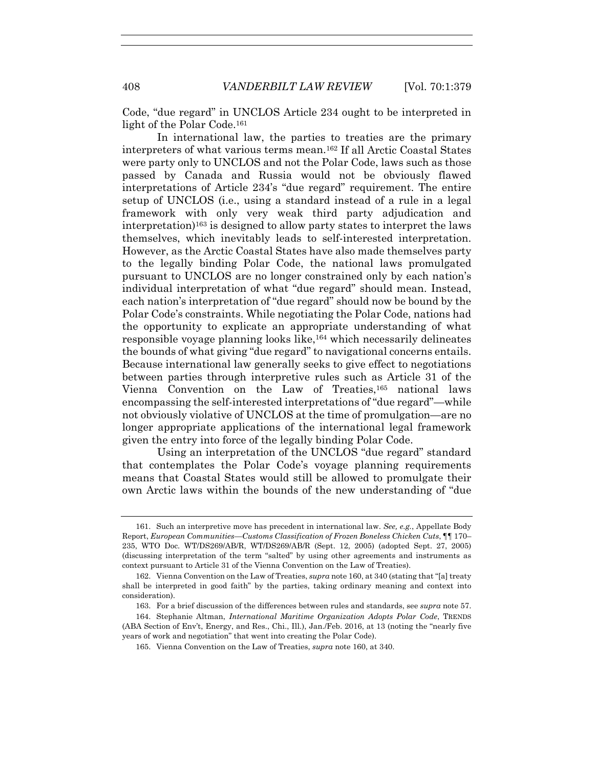Code, "due regard" in UNCLOS Article 234 ought to be interpreted in light of the Polar Code.<sup>161</sup>

In international law, the parties to treaties are the primary interpreters of what various terms mean.162 If all Arctic Coastal States were party only to UNCLOS and not the Polar Code, laws such as those passed by Canada and Russia would not be obviously flawed interpretations of Article 234's "due regard" requirement. The entire setup of UNCLOS (i.e., using a standard instead of a rule in a legal framework with only very weak third party adjudication and  $interpretation$ <sup>163</sup> is designed to allow party states to interpret the laws themselves, which inevitably leads to self-interested interpretation. However, as the Arctic Coastal States have also made themselves party to the legally binding Polar Code, the national laws promulgated pursuant to UNCLOS are no longer constrained only by each nation's individual interpretation of what "due regard" should mean. Instead, each nation's interpretation of "due regard" should now be bound by the Polar Code's constraints. While negotiating the Polar Code, nations had the opportunity to explicate an appropriate understanding of what responsible voyage planning looks like,164 which necessarily delineates the bounds of what giving "due regard" to navigational concerns entails. Because international law generally seeks to give effect to negotiations between parties through interpretive rules such as Article 31 of the Vienna Convention on the Law of Treaties,165 national laws encompassing the self-interested interpretations of "due regard"—while not obviously violative of UNCLOS at the time of promulgation—are no longer appropriate applications of the international legal framework given the entry into force of the legally binding Polar Code.

Using an interpretation of the UNCLOS "due regard" standard that contemplates the Polar Code's voyage planning requirements means that Coastal States would still be allowed to promulgate their own Arctic laws within the bounds of the new understanding of "due

 <sup>161.</sup> Such an interpretive move has precedent in international law. *See, e.g.*, Appellate Body Report, *European Communities—Customs Classification of Frozen Boneless Chicken Cuts*, ¶¶ 170– 235, WTO Doc. WT/DS269/AB/R, WT/DS269/AB/R (Sept. 12, 2005) (adopted Sept. 27, 2005) (discussing interpretation of the term "salted" by using other agreements and instruments as context pursuant to Article 31 of the Vienna Convention on the Law of Treaties).

 <sup>162.</sup> Vienna Convention on the Law of Treaties, *supra* note 160, at 340 (stating that "[a] treaty shall be interpreted in good faith" by the parties, taking ordinary meaning and context into consideration).

 <sup>163.</sup> For a brief discussion of the differences between rules and standards, see *supra* note 57.

 <sup>164.</sup> Stephanie Altman, *International Maritime Organization Adopts Polar Code*, TRENDS (ABA Section of Env't, Energy, and Res., Chi., Ill.), Jan./Feb. 2016, at 13 (noting the "nearly five years of work and negotiation" that went into creating the Polar Code).

 <sup>165.</sup> Vienna Convention on the Law of Treaties, *supra* note 160, at 340.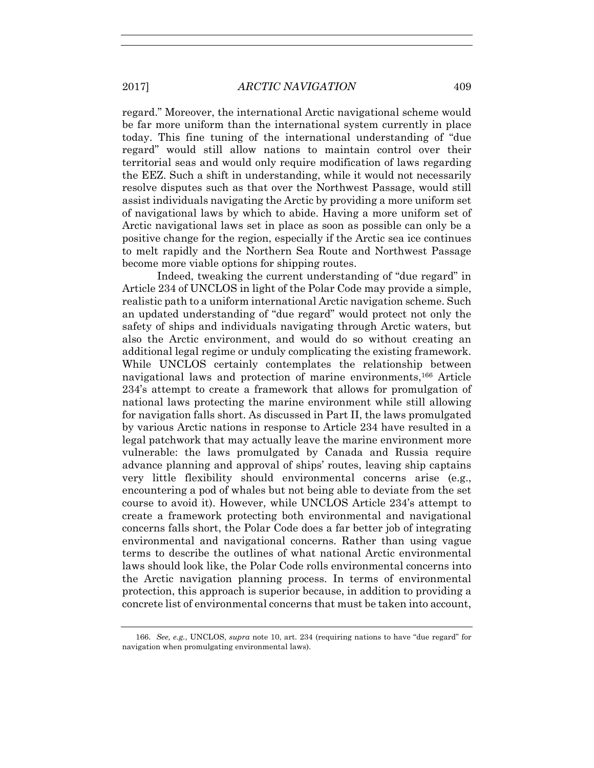regard." Moreover, the international Arctic navigational scheme would be far more uniform than the international system currently in place today. This fine tuning of the international understanding of "due regard" would still allow nations to maintain control over their territorial seas and would only require modification of laws regarding the EEZ. Such a shift in understanding, while it would not necessarily resolve disputes such as that over the Northwest Passage, would still assist individuals navigating the Arctic by providing a more uniform set of navigational laws by which to abide. Having a more uniform set of Arctic navigational laws set in place as soon as possible can only be a positive change for the region, especially if the Arctic sea ice continues to melt rapidly and the Northern Sea Route and Northwest Passage become more viable options for shipping routes.

Indeed, tweaking the current understanding of "due regard" in Article 234 of UNCLOS in light of the Polar Code may provide a simple, realistic path to a uniform international Arctic navigation scheme. Such an updated understanding of "due regard" would protect not only the safety of ships and individuals navigating through Arctic waters, but also the Arctic environment, and would do so without creating an additional legal regime or unduly complicating the existing framework. While UNCLOS certainly contemplates the relationship between navigational laws and protection of marine environments,166 Article 234's attempt to create a framework that allows for promulgation of national laws protecting the marine environment while still allowing for navigation falls short. As discussed in Part II, the laws promulgated by various Arctic nations in response to Article 234 have resulted in a legal patchwork that may actually leave the marine environment more vulnerable: the laws promulgated by Canada and Russia require advance planning and approval of ships' routes, leaving ship captains very little flexibility should environmental concerns arise (e.g., encountering a pod of whales but not being able to deviate from the set course to avoid it). However, while UNCLOS Article 234's attempt to create a framework protecting both environmental and navigational concerns falls short, the Polar Code does a far better job of integrating environmental and navigational concerns. Rather than using vague terms to describe the outlines of what national Arctic environmental laws should look like, the Polar Code rolls environmental concerns into the Arctic navigation planning process. In terms of environmental protection, this approach is superior because, in addition to providing a concrete list of environmental concerns that must be taken into account,

 <sup>166.</sup> *See, e.g.*, UNCLOS, *supra* note 10, art. 234 (requiring nations to have "due regard" for navigation when promulgating environmental laws).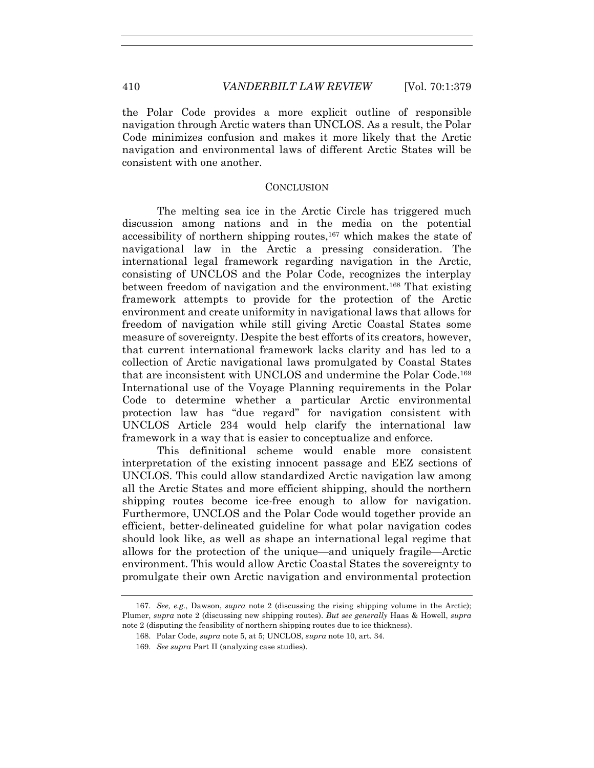the Polar Code provides a more explicit outline of responsible navigation through Arctic waters than UNCLOS. As a result, the Polar Code minimizes confusion and makes it more likely that the Arctic navigation and environmental laws of different Arctic States will be consistent with one another.

#### **CONCLUSION**

The melting sea ice in the Arctic Circle has triggered much discussion among nations and in the media on the potential accessibility of northern shipping routes,167 which makes the state of navigational law in the Arctic a pressing consideration. The international legal framework regarding navigation in the Arctic, consisting of UNCLOS and the Polar Code, recognizes the interplay between freedom of navigation and the environment.168 That existing framework attempts to provide for the protection of the Arctic environment and create uniformity in navigational laws that allows for freedom of navigation while still giving Arctic Coastal States some measure of sovereignty. Despite the best efforts of its creators, however, that current international framework lacks clarity and has led to a collection of Arctic navigational laws promulgated by Coastal States that are inconsistent with UNCLOS and undermine the Polar Code.169 International use of the Voyage Planning requirements in the Polar Code to determine whether a particular Arctic environmental protection law has "due regard" for navigation consistent with UNCLOS Article 234 would help clarify the international law framework in a way that is easier to conceptualize and enforce.

This definitional scheme would enable more consistent interpretation of the existing innocent passage and EEZ sections of UNCLOS. This could allow standardized Arctic navigation law among all the Arctic States and more efficient shipping, should the northern shipping routes become ice-free enough to allow for navigation. Furthermore, UNCLOS and the Polar Code would together provide an efficient, better-delineated guideline for what polar navigation codes should look like, as well as shape an international legal regime that allows for the protection of the unique—and uniquely fragile—Arctic environment. This would allow Arctic Coastal States the sovereignty to promulgate their own Arctic navigation and environmental protection

 <sup>167.</sup> *See, e.g.*, Dawson, *supra* note 2 (discussing the rising shipping volume in the Arctic); Plumer, *supra* note 2 (discussing new shipping routes). *But see generally* Haas & Howell, *supra*  note 2 (disputing the feasibility of northern shipping routes due to ice thickness).

 <sup>168.</sup> Polar Code, *supra* note 5, at 5; UNCLOS, *supra* note 10, art. 34.

 <sup>169.</sup> *See supra* Part II (analyzing case studies).